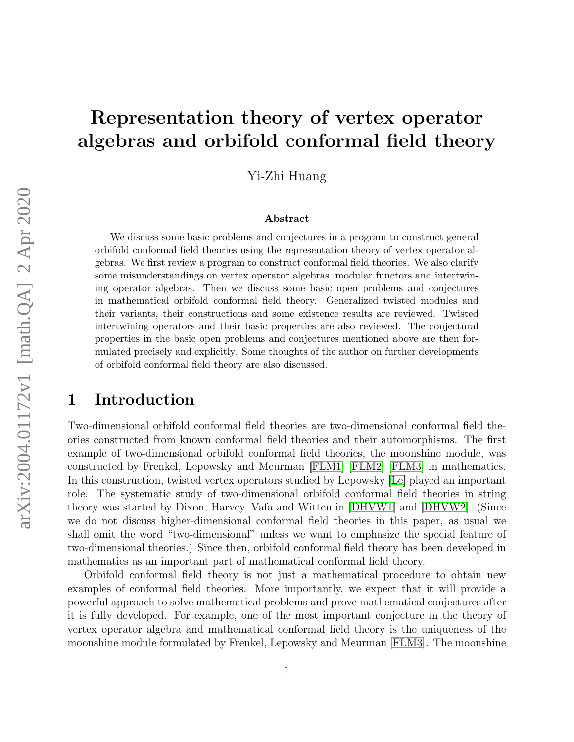# Representation theory of vertex operator algebras and orbifold conformal field theory

Yi-Zhi Huang

#### Abstract

We discuss some basic problems and conjectures in a program to construct general orbifold conformal field theories using the representation theory of vertex operator algebras. We first review a program to construct conformal field theories. We also clarify some misunderstandings on vertex operator algebras, modular functors and intertwining operator algebras. Then we discuss some basic open problems and conjectures in mathematical orbifold conformal field theory. Generalized twisted modules and their variants, their constructions and some existence results are reviewed. Twisted intertwining operators and their basic properties are also reviewed. The conjectural properties in the basic open problems and conjectures mentioned above are then formulated precisely and explicitly. Some thoughts of the author on further developments of orbifold conformal field theory are also discussed.

### 1 Introduction

Two-dimensional orbifold conformal field theories are two-dimensional conformal field theories constructed from known conformal field theories and their automorphisms. The first example of two-dimensional orbifold conformal field theories, the moonshine module, was constructed by Frenkel, Lepowsky and Meurman [\[FLM1\]](#page-29-0) [\[FLM2\]](#page-29-1) [\[FLM3\]](#page-29-2) in mathematics. In this construction, twisted vertex operators studied by Lepowsky [\[Le\]](#page-33-0) played an important role. The systematic study of two-dimensional orbifold conformal field theories in string theory was started by Dixon, Harvey, Vafa and Witten in [\[DHVW1\]](#page-28-0) and [\[DHVW2\]](#page-28-1). (Since we do not discuss higher-dimensional conformal field theories in this paper, as usual we shall omit the word "two-dimensional" unless we want to emphasize the special feature of two-dimensional theories.) Since then, orbifold conformal field theory has been developed in mathematics as an important part of mathematical conformal field theory.

Orbifold conformal field theory is not just a mathematical procedure to obtain new examples of conformal field theories. More importantly, we expect that it will provide a powerful approach to solve mathematical problems and prove mathematical conjectures after it is fully developed. For example, one of the most important conjecture in the theory of vertex operator algebra and mathematical conformal field theory is the uniqueness of the moonshine module formulated by Frenkel, Lepowsky and Meurman [\[FLM3\]](#page-29-2). The moonshine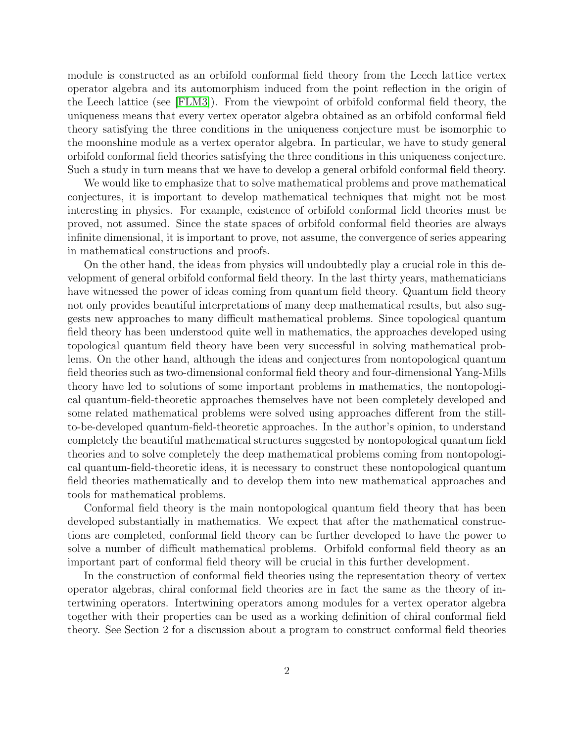module is constructed as an orbifold conformal field theory from the Leech lattice vertex operator algebra and its automorphism induced from the point reflection in the origin of the Leech lattice (see [\[FLM3\]](#page-29-2)). From the viewpoint of orbifold conformal field theory, the uniqueness means that every vertex operator algebra obtained as an orbifold conformal field theory satisfying the three conditions in the uniqueness conjecture must be isomorphic to the moonshine module as a vertex operator algebra. In particular, we have to study general orbifold conformal field theories satisfying the three conditions in this uniqueness conjecture. Such a study in turn means that we have to develop a general orbifold conformal field theory.

We would like to emphasize that to solve mathematical problems and prove mathematical conjectures, it is important to develop mathematical techniques that might not be most interesting in physics. For example, existence of orbifold conformal field theories must be proved, not assumed. Since the state spaces of orbifold conformal field theories are always infinite dimensional, it is important to prove, not assume, the convergence of series appearing in mathematical constructions and proofs.

On the other hand, the ideas from physics will undoubtedly play a crucial role in this development of general orbifold conformal field theory. In the last thirty years, mathematicians have witnessed the power of ideas coming from quantum field theory. Quantum field theory not only provides beautiful interpretations of many deep mathematical results, but also suggests new approaches to many difficult mathematical problems. Since topological quantum field theory has been understood quite well in mathematics, the approaches developed using topological quantum field theory have been very successful in solving mathematical problems. On the other hand, although the ideas and conjectures from nontopological quantum field theories such as two-dimensional conformal field theory and four-dimensional Yang-Mills theory have led to solutions of some important problems in mathematics, the nontopological quantum-field-theoretic approaches themselves have not been completely developed and some related mathematical problems were solved using approaches different from the stillto-be-developed quantum-field-theoretic approaches. In the author's opinion, to understand completely the beautiful mathematical structures suggested by nontopological quantum field theories and to solve completely the deep mathematical problems coming from nontopological quantum-field-theoretic ideas, it is necessary to construct these nontopological quantum field theories mathematically and to develop them into new mathematical approaches and tools for mathematical problems.

Conformal field theory is the main nontopological quantum field theory that has been developed substantially in mathematics. We expect that after the mathematical constructions are completed, conformal field theory can be further developed to have the power to solve a number of difficult mathematical problems. Orbifold conformal field theory as an important part of conformal field theory will be crucial in this further development.

In the construction of conformal field theories using the representation theory of vertex operator algebras, chiral conformal field theories are in fact the same as the theory of intertwining operators. Intertwining operators among modules for a vertex operator algebra together with their properties can be used as a working definition of chiral conformal field theory. See Section 2 for a discussion about a program to construct conformal field theories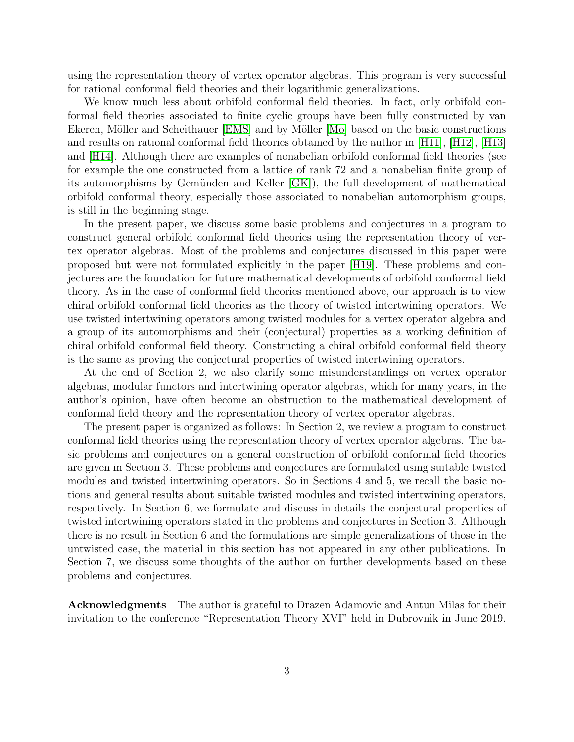using the representation theory of vertex operator algebras. This program is very successful for rational conformal field theories and their logarithmic generalizations.

We know much less about orbifold conformal field theories. In fact, only orbifold conformal field theories associated to finite cyclic groups have been fully constructed by van Ekeren, Möller and Scheithauer [\[EMS\]](#page-29-3) and by Möller [\[Mo\]](#page-34-0) based on the basic constructions and results on rational conformal field theories obtained by the author in [\[H11\]](#page-30-0), [\[H12\]](#page-30-1), [\[H13\]](#page-30-2) and [\[H14\]](#page-30-3). Although there are examples of nonabelian orbifold conformal field theories (see for example the one constructed from a lattice of rank 72 and a nonabelian finite group of its automorphisms by Gemünden and Keller  $|GK|$ , the full development of mathematical orbifold conformal theory, especially those associated to nonabelian automorphism groups, is still in the beginning stage.

In the present paper, we discuss some basic problems and conjectures in a program to construct general orbifold conformal field theories using the representation theory of vertex operator algebras. Most of the problems and conjectures discussed in this paper were proposed but were not formulated explicitly in the paper [\[H19\]](#page-31-0). These problems and conjectures are the foundation for future mathematical developments of orbifold conformal field theory. As in the case of conformal field theories mentioned above, our approach is to view chiral orbifold conformal field theories as the theory of twisted intertwining operators. We use twisted intertwining operators among twisted modules for a vertex operator algebra and a group of its automorphisms and their (conjectural) properties as a working definition of chiral orbifold conformal field theory. Constructing a chiral orbifold conformal field theory is the same as proving the conjectural properties of twisted intertwining operators.

At the end of Section 2, we also clarify some misunderstandings on vertex operator algebras, modular functors and intertwining operator algebras, which for many years, in the author's opinion, have often become an obstruction to the mathematical development of conformal field theory and the representation theory of vertex operator algebras.

The present paper is organized as follows: In Section 2, we review a program to construct conformal field theories using the representation theory of vertex operator algebras. The basic problems and conjectures on a general construction of orbifold conformal field theories are given in Section 3. These problems and conjectures are formulated using suitable twisted modules and twisted intertwining operators. So in Sections 4 and 5, we recall the basic notions and general results about suitable twisted modules and twisted intertwining operators, respectively. In Section 6, we formulate and discuss in details the conjectural properties of twisted intertwining operators stated in the problems and conjectures in Section 3. Although there is no result in Section 6 and the formulations are simple generalizations of those in the untwisted case, the material in this section has not appeared in any other publications. In Section 7, we discuss some thoughts of the author on further developments based on these problems and conjectures.

Acknowledgments The author is grateful to Drazen Adamovic and Antun Milas for their invitation to the conference "Representation Theory XVI" held in Dubrovnik in June 2019.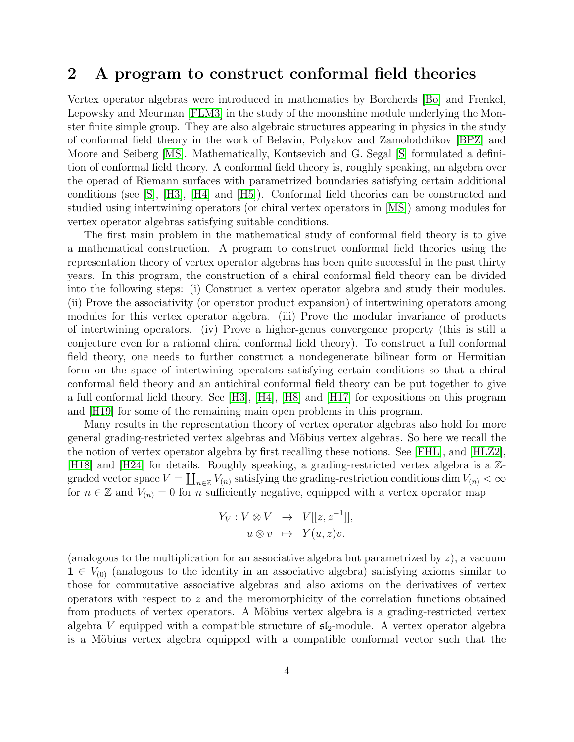#### 2 A program to construct conformal field theories

Vertex operator algebras were introduced in mathematics by Borcherds [\[Bo\]](#page-28-2) and Frenkel, Lepowsky and Meurman [\[FLM3\]](#page-29-2) in the study of the moonshine module underlying the Monster finite simple group. They are also algebraic structures appearing in physics in the study of conformal field theory in the work of Belavin, Polyakov and Zamolodchikov [\[BPZ\]](#page-28-3) and Moore and Seiberg [\[MS\]](#page-34-1). Mathematically, Kontsevich and G. Segal [\[S\]](#page-34-2) formulated a definition of conformal field theory. A conformal field theory is, roughly speaking, an algebra over the operad of Riemann surfaces with parametrized boundaries satisfying certain additional conditions (see [\[S\]](#page-34-2), [\[H3\]](#page-29-5), [\[H4\]](#page-29-6) and [\[H5\]](#page-30-4)). Conformal field theories can be constructed and studied using intertwining operators (or chiral vertex operators in [\[MS\]](#page-34-1)) among modules for vertex operator algebras satisfying suitable conditions.

The first main problem in the mathematical study of conformal field theory is to give a mathematical construction. A program to construct conformal field theories using the representation theory of vertex operator algebras has been quite successful in the past thirty years. In this program, the construction of a chiral conformal field theory can be divided into the following steps: (i) Construct a vertex operator algebra and study their modules. (ii) Prove the associativity (or operator product expansion) of intertwining operators among modules for this vertex operator algebra. (iii) Prove the modular invariance of products of intertwining operators. (iv) Prove a higher-genus convergence property (this is still a conjecture even for a rational chiral conformal field theory). To construct a full conformal field theory, one needs to further construct a nondegenerate bilinear form or Hermitian form on the space of intertwining operators satisfying certain conditions so that a chiral conformal field theory and an antichiral conformal field theory can be put together to give a full conformal field theory. See [\[H3\]](#page-29-5), [\[H4\]](#page-29-6), [\[H8\]](#page-30-5) and [\[H17\]](#page-30-6) for expositions on this program and [\[H19\]](#page-31-0) for some of the remaining main open problems in this program.

Many results in the representation theory of vertex operator algebras also hold for more general grading-restricted vertex algebras and Möbius vertex algebras. So here we recall the the notion of vertex operator algebra by first recalling these notions. See [\[FHL\]](#page-29-7), and [\[HLZ2\]](#page-32-0), [\[H18\]](#page-30-7) and [\[H24\]](#page-31-1) for details. Roughly speaking, a grading-restricted vertex algebra is a Zgraded vector space  $V = \coprod_{n \in \mathbb{Z}} V_{(n)}$  satisfying the grading-restriction conditions dim  $V_{(n)} < \infty$ for  $n \in \mathbb{Z}$  and  $V_{(n)} = 0$  for n sufficiently negative, equipped with a vertex operator map

$$
Y_V: V \otimes V \rightarrow V[[z, z^{-1}]],
$$
  

$$
u \otimes v \rightarrow Y(u, z)v.
$$

(analogous to the multiplication for an associative algebra but parametrized by  $z$ ), a vacuum  $1 \in V_{(0)}$  (analogous to the identity in an associative algebra) satisfying axioms similar to those for commutative associative algebras and also axioms on the derivatives of vertex operators with respect to z and the meromorphicity of the correlation functions obtained from products of vertex operators. A Möbius vertex algebra is a grading-restricted vertex algebra V equipped with a compatible structure of  $\mathfrak{sl}_2$ -module. A vertex operator algebra is a Möbius vertex algebra equipped with a compatible conformal vector such that the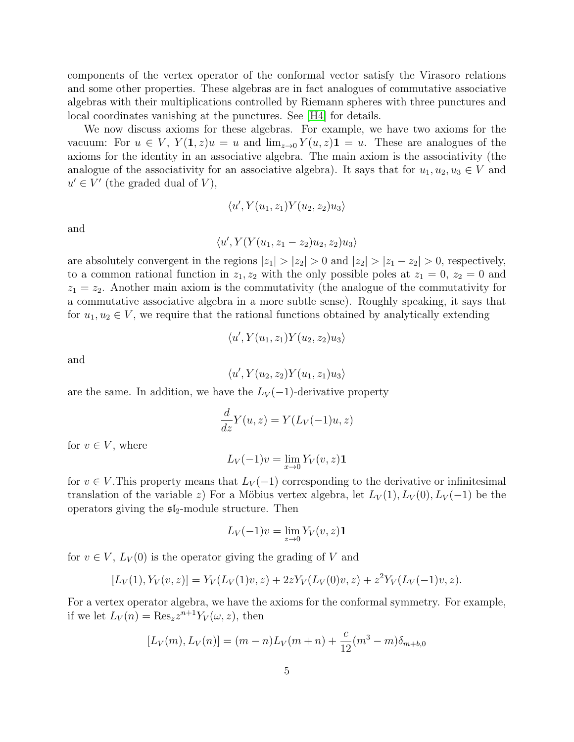components of the vertex operator of the conformal vector satisfy the Virasoro relations and some other properties. These algebras are in fact analogues of commutative associative algebras with their multiplications controlled by Riemann spheres with three punctures and local coordinates vanishing at the punctures. See [\[H4\]](#page-29-6) for details.

We now discuss axioms for these algebras. For example, we have two axioms for the vacuum: For  $u \in V$ ,  $Y(1, z)u = u$  and  $\lim_{z\to 0} Y(u, z)1 = u$ . These are analogues of the axioms for the identity in an associative algebra. The main axiom is the associativity (the analogue of the associativity for an associative algebra). It says that for  $u_1, u_2, u_3 \in V$  and  $u' \in V'$  (the graded dual of V),

$$
\langle u', Y(u_1, z_1) Y(u_2, z_2) u_3 \rangle
$$

and

$$
\langle u', Y(Y(u_1, z_1 - z_2)u_2, z_2)u_3 \rangle
$$

are absolutely convergent in the regions  $|z_1| > |z_2| > 0$  and  $|z_2| > |z_1 - z_2| > 0$ , respectively, to a common rational function in  $z_1, z_2$  with the only possible poles at  $z_1 = 0, z_2 = 0$  and  $z_1 = z_2$ . Another main axiom is the commutativity (the analogue of the commutativity for a commutative associative algebra in a more subtle sense). Roughly speaking, it says that for  $u_1, u_2 \in V$ , we require that the rational functions obtained by analytically extending

$$
\langle u', Y(u_1, z_1) Y(u_2, z_2) u_3 \rangle
$$

and

 $\langle u', Y(u_2, z_2) Y(u_1, z_1) u_3 \rangle$ 

are the same. In addition, we have the  $L_V(-1)$ -derivative property

$$
\frac{d}{dz}Y(u,z) = Y(L_V(-1)u,z)
$$

for  $v \in V$ , where

$$
L_V(-1)v = \lim_{x \to 0} Y_V(v, z)\mathbf{1}
$$

for  $v \in V$ . This property means that  $L_V(-1)$  corresponding to the derivative or infinitesimal translation of the variable z) For a Möbius vertex algebra, let  $L_V(1)$ ,  $L_V(0)$ ,  $L_V(-1)$  be the operators giving the  $\mathfrak{sl}_2$ -module structure. Then

$$
L_V(-1)v = \lim_{z \to 0} Y_V(v, z)\mathbf{1}
$$

for  $v \in V$ ,  $L_V(0)$  is the operator giving the grading of V and

$$
[L_V(1), Y_V(v, z)] = Y_V(L_V(1)v, z) + 2zY_V(L_V(0)v, z) + z^2Y_V(L_V(-1)v, z).
$$

For a vertex operator algebra, we have the axioms for the conformal symmetry. For example, if we let  $L_V(n) = \text{Res}_z z^{n+1} Y_V(\omega, z)$ , then

$$
[L_V(m), L_V(n)] = (m - n)L_V(m + n) + \frac{c}{12}(m^3 - m)\delta_{m + b, 0}
$$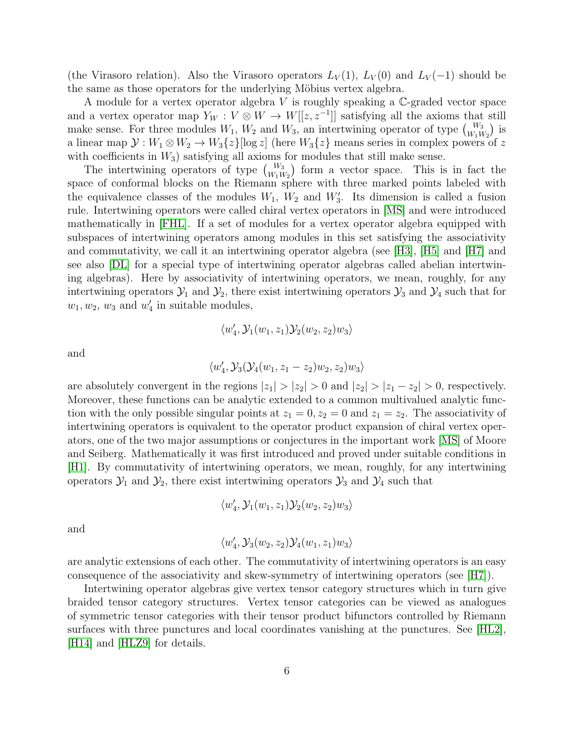(the Virasoro relation). Also the Virasoro operators  $L_V(1)$ ,  $L_V(0)$  and  $L_V(-1)$  should be the same as those operators for the underlying Möbius vertex algebra.

A module for a vertex operator algebra V is roughly speaking a  $\mathbb{C}$ -graded vector space and a vertex operator map  $Y_W : V \otimes W \to W[[z, z^{-1}]]$  satisfying all the axioms that still make sense. For three modules  $W_1, W_2$  and  $W_3$ , an intertwining operator of type  $\begin{pmatrix} W_3 \\ W_1 W_2 \end{pmatrix}$  is a linear map  $\mathcal{Y}: W_1 \otimes W_2 \to W_3\{z\}$  [log z] (here  $W_3\{z\}$  means series in complex powers of z with coefficients in  $W_3$ ) satisfying all axioms for modules that still make sense.

The intertwining operators of type  $\binom{W_3}{W_1W_2}$  form a vector space. This is in fact the space of conformal blocks on the Riemann sphere with three marked points labeled with the equivalence classes of the modules  $W_1$ ,  $W_2$  and  $W'_3$ . Its dimension is called a fusion rule. Intertwining operators were called chiral vertex operators in [\[MS\]](#page-34-1) and were introduced mathematically in [\[FHL\]](#page-29-7). If a set of modules for a vertex operator algebra equipped with subspaces of intertwining operators among modules in this set satisfying the associativity and commutativity, we call it an intertwining operator algebra (see [\[H3\]](#page-29-5), [\[H5\]](#page-30-4) and [\[H7\]](#page-30-8) and see also [\[DL\]](#page-28-4) for a special type of intertwining operator algebras called abelian intertwining algebras). Here by associativity of intertwining operators, we mean, roughly, for any intertwining operators  $\mathcal{Y}_1$  and  $\mathcal{Y}_2$ , there exist intertwining operators  $\mathcal{Y}_3$  and  $\mathcal{Y}_4$  such that for  $w_1, w_2, w_3$  and  $w'_4$  in suitable modules,

$$
\langle w_4',\mathcal{Y}_1(w_1,z_1)\mathcal{Y}_2(w_2,z_2)w_3\rangle
$$

and

$$
\langle w_4',\mathcal{Y}_3(\mathcal{Y}_4(w_1,z_1-z_2)w_2,z_2)w_3\rangle
$$

are absolutely convergent in the regions  $|z_1| > |z_2| > 0$  and  $|z_2| > |z_1 - z_2| > 0$ , respectively. Moreover, these functions can be analytic extended to a common multivalued analytic function with the only possible singular points at  $z_1 = 0, z_2 = 0$  and  $z_1 = z_2$ . The associativity of intertwining operators is equivalent to the operator product expansion of chiral vertex operators, one of the two major assumptions or conjectures in the important work [\[MS\]](#page-34-1) of Moore and Seiberg. Mathematically it was first introduced and proved under suitable conditions in [\[H1\]](#page-29-8). By commutativity of intertwining operators, we mean, roughly, for any intertwining operators  $\mathcal{Y}_1$  and  $\mathcal{Y}_2$ , there exist intertwining operators  $\mathcal{Y}_3$  and  $\mathcal{Y}_4$  such that

$$
\langle w_4',\mathcal{Y}_1(w_1,z_1)\mathcal{Y}_2(w_2,z_2)w_3\rangle
$$

and

$$
\langle w_4',\mathcal{Y}_3(w_2,z_2)\mathcal{Y}_4(w_1,z_1)w_3\rangle
$$

are analytic extensions of each other. The commutativity of intertwining operators is an easy consequence of the associativity and skew-symmetry of intertwining operators (see [\[H7\]](#page-30-8)).

Intertwining operator algebras give vertex tensor category structures which in turn give braided tensor category structures. Vertex tensor categories can be viewed as analogues of symmetric tensor categories with their tensor product bifunctors controlled by Riemann surfaces with three punctures and local coordinates vanishing at the punctures. See [\[HL2\]](#page-31-2), [\[H14\]](#page-30-3) and [\[HLZ9\]](#page-33-1) for details.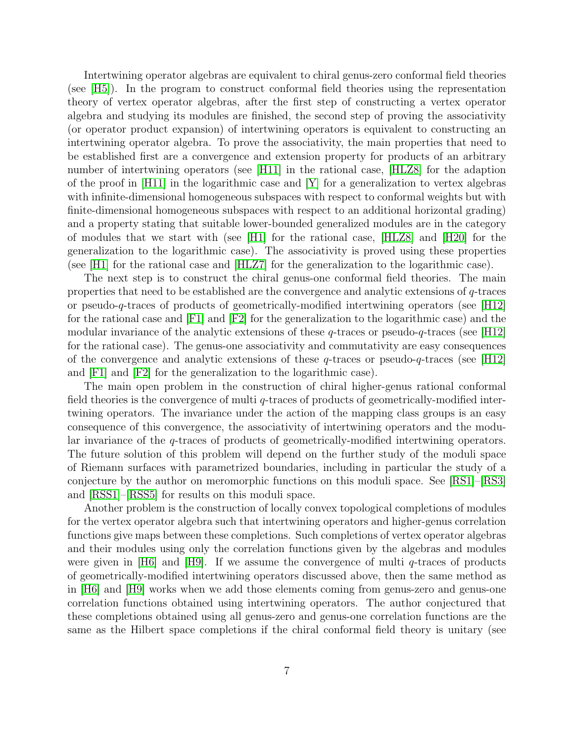Intertwining operator algebras are equivalent to chiral genus-zero conformal field theories (see [\[H5\]](#page-30-4)). In the program to construct conformal field theories using the representation theory of vertex operator algebras, after the first step of constructing a vertex operator algebra and studying its modules are finished, the second step of proving the associativity (or operator product expansion) of intertwining operators is equivalent to constructing an intertwining operator algebra. To prove the associativity, the main properties that need to be established first are a convergence and extension property for products of an arbitrary number of intertwining operators (see [\[H11\]](#page-30-0) in the rational case, [\[HLZ8\]](#page-32-1) for the adaption of the proof in [\[H11\]](#page-30-0) in the logarithmic case and  $[Y]$  for a generalization to vertex algebras with infinite-dimensional homogeneous subspaces with respect to conformal weights but with finite-dimensional homogeneous subspaces with respect to an additional horizontal grading) and a property stating that suitable lower-bounded generalized modules are in the category of modules that we start with (see [\[H1\]](#page-29-8) for the rational case, [\[HLZ8\]](#page-32-1) and [\[H20\]](#page-31-3) for the generalization to the logarithmic case). The associativity is proved using these properties (see [\[H1\]](#page-29-8) for the rational case and [\[HLZ7\]](#page-32-2) for the generalization to the logarithmic case).

The next step is to construct the chiral genus-one conformal field theories. The main properties that need to be established are the convergence and analytic extensions of q-traces or pseudo-q-traces of products of geometrically-modified intertwining operators (see [\[H12\]](#page-30-1) for the rational case and [\[F1\]](#page-29-9) and [\[F2\]](#page-29-10) for the generalization to the logarithmic case) and the modular invariance of the analytic extensions of these  $q$ -traces or pseudo- $q$ -traces (see [\[H12\]](#page-30-1) for the rational case). The genus-one associativity and commutativity are easy consequences of the convergence and analytic extensions of these  $q$ -traces or pseudo- $q$ -traces (see [\[H12\]](#page-30-1) and [\[F1\]](#page-29-9) and [\[F2\]](#page-29-10) for the generalization to the logarithmic case).

The main open problem in the construction of chiral higher-genus rational conformal field theories is the convergence of multi q-traces of products of geometrically-modified intertwining operators. The invariance under the action of the mapping class groups is an easy consequence of this convergence, the associativity of intertwining operators and the modular invariance of the q-traces of products of geometrically-modified intertwining operators. The future solution of this problem will depend on the further study of the moduli space of Riemann surfaces with parametrized boundaries, including in particular the study of a conjecture by the author on meromorphic functions on this moduli space. See [\[RS1\]](#page-34-3)–[\[RS3\]](#page-34-4) and [\[RSS1\]](#page-34-5)–[\[RSS5\]](#page-34-6) for results on this moduli space.

Another problem is the construction of locally convex topological completions of modules for the vertex operator algebra such that intertwining operators and higher-genus correlation functions give maps between these completions. Such completions of vertex operator algebras and their modules using only the correlation functions given by the algebras and modules were given in [\[H6\]](#page-30-9) and [\[H9\]](#page-30-10). If we assume the convergence of multi  $q$ -traces of products of geometrically-modified intertwining operators discussed above, then the same method as in [\[H6\]](#page-30-9) and [\[H9\]](#page-30-10) works when we add those elements coming from genus-zero and genus-one correlation functions obtained using intertwining operators. The author conjectured that these completions obtained using all genus-zero and genus-one correlation functions are the same as the Hilbert space completions if the chiral conformal field theory is unitary (see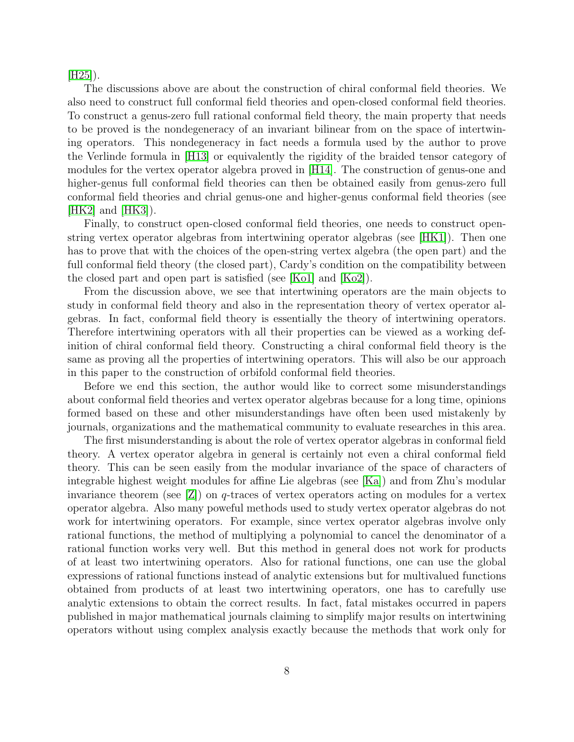$|H25|$ ).

The discussions above are about the construction of chiral conformal field theories. We also need to construct full conformal field theories and open-closed conformal field theories. To construct a genus-zero full rational conformal field theory, the main property that needs to be proved is the nondegeneracy of an invariant bilinear from on the space of intertwining operators. This nondegeneracy in fact needs a formula used by the author to prove the Verlinde formula in [\[H13\]](#page-30-2) or equivalently the rigidity of the braided tensor category of modules for the vertex operator algebra proved in [\[H14\]](#page-30-3). The construction of genus-one and higher-genus full conformal field theories can then be obtained easily from genus-zero full conformal field theories and chrial genus-one and higher-genus conformal field theories (see  $[HK2]$  and  $[HK3]$ ).

Finally, to construct open-closed conformal field theories, one needs to construct openstring vertex operator algebras from intertwining operator algebras (see [\[HK1\]](#page-33-4)). Then one has to prove that with the choices of the open-string vertex algebra (the open part) and the full conformal field theory (the closed part), Cardy's condition on the compatibility between the closed part and open part is satisfied (see [\[Ko1\]](#page-33-5) and [\[Ko2\]](#page-33-6)).

From the discussion above, we see that intertwining operators are the main objects to study in conformal field theory and also in the representation theory of vertex operator algebras. In fact, conformal field theory is essentially the theory of intertwining operators. Therefore intertwining operators with all their properties can be viewed as a working definition of chiral conformal field theory. Constructing a chiral conformal field theory is the same as proving all the properties of intertwining operators. This will also be our approach in this paper to the construction of orbifold conformal field theories.

Before we end this section, the author would like to correct some misunderstandings about conformal field theories and vertex operator algebras because for a long time, opinions formed based on these and other misunderstandings have often been used mistakenly by journals, organizations and the mathematical community to evaluate researches in this area.

The first misunderstanding is about the role of vertex operator algebras in conformal field theory. A vertex operator algebra in general is certainly not even a chiral conformal field theory. This can be seen easily from the modular invariance of the space of characters of integrable highest weight modules for affine Lie algebras (see [\[Ka\]](#page-33-7)) and from Zhu's modular invariance theorem (see  $Z$ ) on q-traces of vertex operators acting on modules for a vertex operator algebra. Also many poweful methods used to study vertex operator algebras do not work for intertwining operators. For example, since vertex operator algebras involve only rational functions, the method of multiplying a polynomial to cancel the denominator of a rational function works very well. But this method in general does not work for products of at least two intertwining operators. Also for rational functions, one can use the global expressions of rational functions instead of analytic extensions but for multivalued functions obtained from products of at least two intertwining operators, one has to carefully use analytic extensions to obtain the correct results. In fact, fatal mistakes occurred in papers published in major mathematical journals claiming to simplify major results on intertwining operators without using complex analysis exactly because the methods that work only for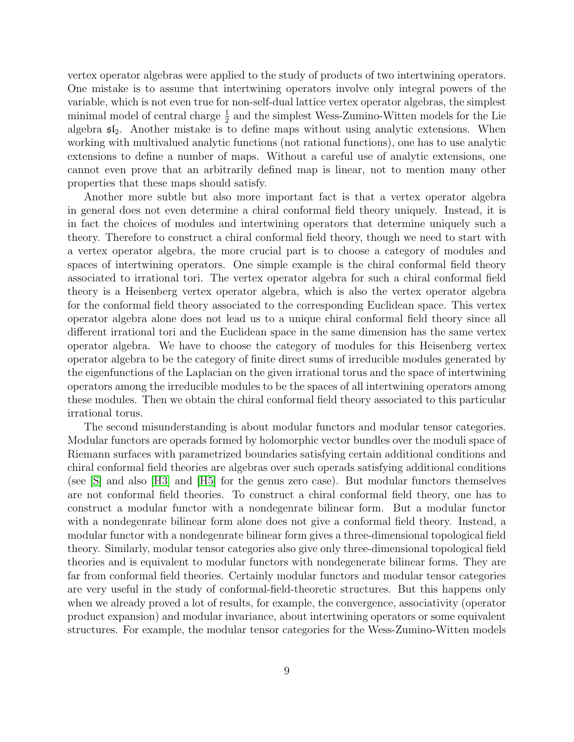vertex operator algebras were applied to the study of products of two intertwining operators. One mistake is to assume that intertwining operators involve only integral powers of the variable, which is not even true for non-self-dual lattice vertex operator algebras, the simplest minimal model of central charge  $\frac{1}{2}$  and the simplest Wess-Zumino-Witten models for the Lie algebra  $\mathfrak{sl}_2$ . Another mistake is to define maps without using analytic extensions. When working with multivalued analytic functions (not rational functions), one has to use analytic extensions to define a number of maps. Without a careful use of analytic extensions, one cannot even prove that an arbitrarily defined map is linear, not to mention many other properties that these maps should satisfy.

Another more subtle but also more important fact is that a vertex operator algebra in general does not even determine a chiral conformal field theory uniquely. Instead, it is in fact the choices of modules and intertwining operators that determine uniquely such a theory. Therefore to construct a chiral conformal field theory, though we need to start with a vertex operator algebra, the more crucial part is to choose a category of modules and spaces of intertwining operators. One simple example is the chiral conformal field theory associated to irrational tori. The vertex operator algebra for such a chiral conformal field theory is a Heisenberg vertex operator algebra, which is also the vertex operator algebra for the conformal field theory associated to the corresponding Euclidean space. This vertex operator algebra alone does not lead us to a unique chiral conformal field theory since all different irrational tori and the Euclidean space in the same dimension has the same vertex operator algebra. We have to choose the category of modules for this Heisenberg vertex operator algebra to be the category of finite direct sums of irreducible modules generated by the eigenfunctions of the Laplacian on the given irrational torus and the space of intertwining operators among the irreducible modules to be the spaces of all intertwining operators among these modules. Then we obtain the chiral conformal field theory associated to this particular irrational torus.

The second misunderstanding is about modular functors and modular tensor categories. Modular functors are operads formed by holomorphic vector bundles over the moduli space of Riemann surfaces with parametrized boundaries satisfying certain additional conditions and chiral conformal field theories are algebras over such operads satisfying additional conditions (see [\[S\]](#page-34-2) and also [\[H3\]](#page-29-5) and [\[H5\]](#page-30-4) for the genus zero case). But modular functors themselves are not conformal field theories. To construct a chiral conformal field theory, one has to construct a modular functor with a nondegenrate bilinear form. But a modular functor with a nondegenrate bilinear form alone does not give a conformal field theory. Instead, a modular functor with a nondegenrate bilinear form gives a three-dimensional topological field theory. Similarly, modular tensor categories also give only three-dimensional topological field theories and is equivalent to modular functors with nondegenerate bilinear forms. They are far from conformal field theories. Certainly modular functors and modular tensor categories are very useful in the study of conformal-field-theoretic structures. But this happens only when we already proved a lot of results, for example, the convergence, associativity (operator product expansion) and modular invariance, about intertwining operators or some equivalent structures. For example, the modular tensor categories for the Wess-Zumino-Witten models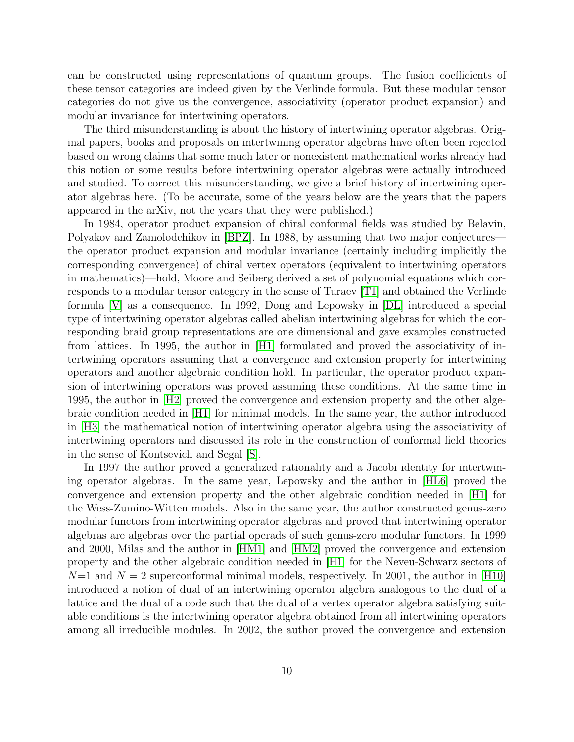can be constructed using representations of quantum groups. The fusion coefficients of these tensor categories are indeed given by the Verlinde formula. But these modular tensor categories do not give us the convergence, associativity (operator product expansion) and modular invariance for intertwining operators.

The third misunderstanding is about the history of intertwining operator algebras. Original papers, books and proposals on intertwining operator algebras have often been rejected based on wrong claims that some much later or nonexistent mathematical works already had this notion or some results before intertwining operator algebras were actually introduced and studied. To correct this misunderstanding, we give a brief history of intertwining operator algebras here. (To be accurate, some of the years below are the years that the papers appeared in the arXiv, not the years that they were published.)

In 1984, operator product expansion of chiral conformal fields was studied by Belavin, Polyakov and Zamolodchikov in [\[BPZ\]](#page-28-3). In 1988, by assuming that two major conjectures the operator product expansion and modular invariance (certainly including implicitly the corresponding convergence) of chiral vertex operators (equivalent to intertwining operators in mathematics)—hold, Moore and Seiberg derived a set of polynomial equations which corresponds to a modular tensor category in the sense of Turaev [\[T1\]](#page-35-2) and obtained the Verlinde formula [\[V\]](#page-35-3) as a consequence. In 1992, Dong and Lepowsky in [\[DL\]](#page-28-4) introduced a special type of intertwining operator algebras called abelian intertwining algebras for which the corresponding braid group representations are one dimensional and gave examples constructed from lattices. In 1995, the author in [\[H1\]](#page-29-8) formulated and proved the associativity of intertwining operators assuming that a convergence and extension property for intertwining operators and another algebraic condition hold. In particular, the operator product expansion of intertwining operators was proved assuming these conditions. At the same time in 1995, the author in [\[H2\]](#page-29-11) proved the convergence and extension property and the other algebraic condition needed in [\[H1\]](#page-29-8) for minimal models. In the same year, the author introduced in [\[H3\]](#page-29-5) the mathematical notion of intertwining operator algebra using the associativity of intertwining operators and discussed its role in the construction of conformal field theories in the sense of Kontsevich and Segal [\[S\]](#page-34-2).

In 1997 the author proved a generalized rationality and a Jacobi identity for intertwining operator algebras. In the same year, Lepowsky and the author in [\[HL6\]](#page-32-3) proved the convergence and extension property and the other algebraic condition needed in [\[H1\]](#page-29-8) for the Wess-Zumino-Witten models. Also in the same year, the author constructed genus-zero modular functors from intertwining operator algebras and proved that intertwining operator algebras are algebras over the partial operads of such genus-zero modular functors. In 1999 and 2000, Milas and the author in [\[HM1\]](#page-33-8) and [\[HM2\]](#page-33-9) proved the convergence and extension property and the other algebraic condition needed in [\[H1\]](#page-29-8) for the Neveu-Schwarz sectors of  $N=1$  and  $N=2$  superconformal minimal models, respectively. In 2001, the author in [\[H10\]](#page-30-11) introduced a notion of dual of an intertwining operator algebra analogous to the dual of a lattice and the dual of a code such that the dual of a vertex operator algebra satisfying suitable conditions is the intertwining operator algebra obtained from all intertwining operators among all irreducible modules. In 2002, the author proved the convergence and extension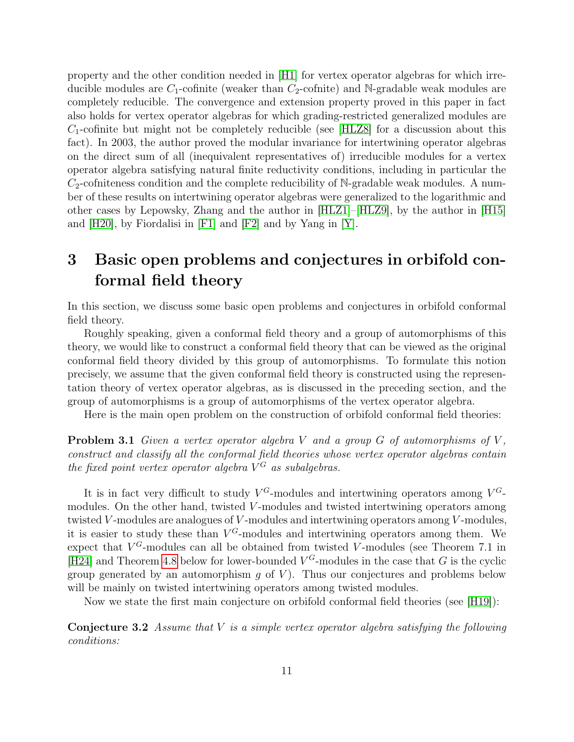property and the other condition needed in [\[H1\]](#page-29-8) for vertex operator algebras for which irreducible modules are  $C_1$ -cofinite (weaker than  $C_2$ -cofinite) and N-gradable weak modules are completely reducible. The convergence and extension property proved in this paper in fact also holds for vertex operator algebras for which grading-restricted generalized modules are  $C_1$ -cofinite but might not be completely reducible (see [\[HLZ8\]](#page-32-1) for a discussion about this fact). In 2003, the author proved the modular invariance for intertwining operator algebras on the direct sum of all (inequivalent representatives of) irreducible modules for a vertex operator algebra satisfying natural finite reductivity conditions, including in particular the  $C_2$ -cofniteness condition and the complete reducibility of N-gradable weak modules. A number of these results on intertwining operator algebras were generalized to the logarithmic and other cases by Lepowsky, Zhang and the author in [\[HLZ1\]](#page-32-4)–[\[HLZ9\]](#page-33-1), by the author in [\[H15\]](#page-30-12) and [\[H20\]](#page-31-3), by Fiordalisi in [\[F1\]](#page-29-9) and [\[F2\]](#page-29-10) and by Yang in [\[Y\]](#page-35-0).

### 3 Basic open problems and conjectures in orbifold conformal field theory

In this section, we discuss some basic open problems and conjectures in orbifold conformal field theory.

Roughly speaking, given a conformal field theory and a group of automorphisms of this theory, we would like to construct a conformal field theory that can be viewed as the original conformal field theory divided by this group of automorphisms. To formulate this notion precisely, we assume that the given conformal field theory is constructed using the representation theory of vertex operator algebras, as is discussed in the preceding section, and the group of automorphisms is a group of automorphisms of the vertex operator algebra.

Here is the main open problem on the construction of orbifold conformal field theories:

<span id="page-10-1"></span>**Problem 3.1** Given a vertex operator algebra V and a group  $G$  of automorphisms of V, construct and classify all the conformal field theories whose vertex operator algebras contain the fixed point vertex operator algebra  $V^G$  as subalgebras.

It is in fact very difficult to study  $V^G$ -modules and intertwining operators among  $V^G$ modules. On the other hand, twisted V-modules and twisted intertwining operators among twisted  $V$ -modules are analogues of  $V$ -modules and intertwining operators among  $V$ -modules, it is easier to study these than  $V^G$ -modules and intertwining operators among them. We expect that  $V^G$ -modules can all be obtained from twisted V-modules (see Theorem 7.1 in [\[H24\]](#page-31-1) and Theorem [4.8](#page-16-0) below for lower-bounded  $V^G$ -modules in the case that G is the cyclic group generated by an automorphism  $q$  of  $V$ ). Thus our conjectures and problems below will be mainly on twisted intertwining operators among twisted modules.

Now we state the first main conjecture on orbifold conformal field theories (see [\[H19\]](#page-31-0)):

<span id="page-10-0"></span>**Conjecture 3.2** Assume that  $V$  is a simple vertex operator algebra satisfying the following conditions: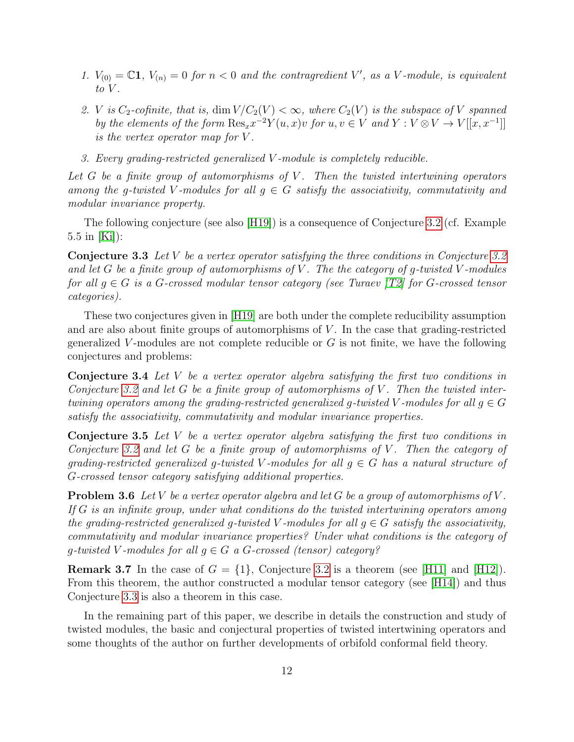- 1.  $V_{(0)} = \mathbb{C}1$ ,  $V_{(n)} = 0$  for  $n < 0$  and the contragredient V', as a V-module, is equivalent to  $V$ .
- 2. V is  $C_2$ -cofinite, that is, dim  $V/C_2(V) < \infty$ , where  $C_2(V)$  is the subspace of V spanned by the elements of the form  $\text{Res}_x x^{-2} Y(u, x)v$  for  $u, v \in V$  and  $Y : V \otimes V \to V[[x, x^{-1}]]$ is the vertex operator map for V .
- 3. Every grading-restricted generalized V -module is completely reducible.

Let  $G$  be a finite group of automorphisms of  $V$ . Then the twisted intertwining operators among the g-twisted V-modules for all  $q \in G$  satisfy the associativity, commutativity and modular invariance property.

The following conjecture (see also [\[H19\]](#page-31-0)) is a consequence of Conjecture [3.2](#page-10-0) (cf. Example 5.5 in [\[Ki\]](#page-33-10)):

<span id="page-11-0"></span>Conjecture 3.3 Let V be a vertex operator satisfying the three conditions in Conjecture [3.2](#page-10-0) and let G be a finite group of automorphisms of V. The the category of q-twisted V-modules for all  $g \in G$  is a G-crossed modular tensor category (see Turaev [\[T2\]](#page-35-4) for G-crossed tensor categories).

These two conjectures given in [\[H19\]](#page-31-0) are both under the complete reducibility assumption and are also about finite groups of automorphisms of V. In the case that grading-restricted generalized V-modules are not complete reducible or  $G$  is not finite, we have the following conjectures and problems:

Conjecture 3.4 Let V be a vertex operator algebra satisfying the first two conditions in Conjecture [3.2](#page-10-0) and let G be a finite group of automorphisms of V. Then the twisted intertwining operators among the grading-restricted generalized g-twisted V-modules for all  $q \in G$ satisfy the associativity, commutativity and modular invariance properties.

**Conjecture 3.5** Let V be a vertex operator algebra satisfying the first two conditions in Conjecture [3.2](#page-10-0) and let G be a finite group of automorphisms of V. Then the category of grading-restricted generalized g-twisted V-modules for all  $g \in G$  has a natural structure of G-crossed tensor category satisfying additional properties.

**Problem 3.6** Let V be a vertex operator algebra and let G be a group of automorphisms of V. If G is an infinite group, under what conditions do the twisted intertwining operators among the grading-restricted generalized g-twisted V-modules for all  $q \in G$  satisfy the associativity, commutativity and modular invariance properties? Under what conditions is the category of g-twisted V-modules for all  $g \in G$  a G-crossed (tensor) category?

**Remark 3.7** In the case of  $G = \{1\}$ , Conjecture [3.2](#page-10-0) is a theorem (see [\[H11\]](#page-30-0) and [\[H12\]](#page-30-1)). From this theorem, the author constructed a modular tensor category (see [\[H14\]](#page-30-3)) and thus Conjecture [3.3](#page-11-0) is also a theorem in this case.

In the remaining part of this paper, we describe in details the construction and study of twisted modules, the basic and conjectural properties of twisted intertwining operators and some thoughts of the author on further developments of orbifold conformal field theory.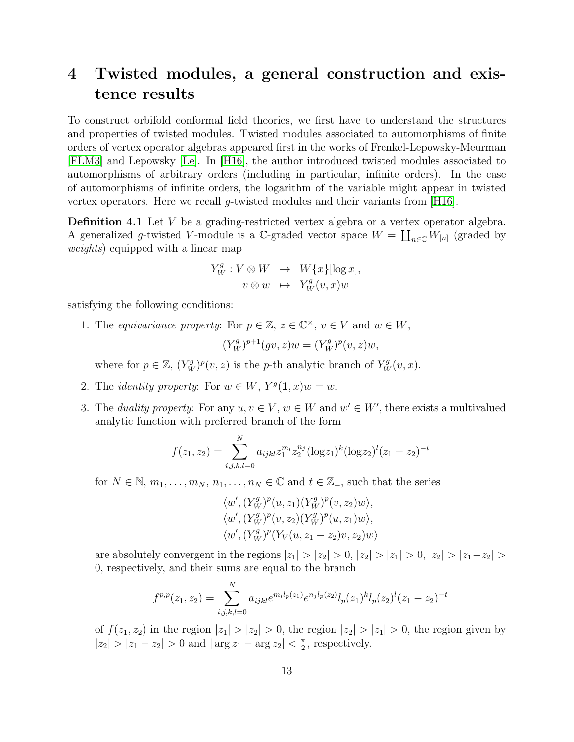### 4 Twisted modules, a general construction and existence results

To construct orbifold conformal field theories, we first have to understand the structures and properties of twisted modules. Twisted modules associated to automorphisms of finite orders of vertex operator algebras appeared first in the works of Frenkel-Lepowsky-Meurman [\[FLM3\]](#page-29-2) and Lepowsky [\[Le\]](#page-33-0). In [\[H16\]](#page-30-13), the author introduced twisted modules associated to automorphisms of arbitrary orders (including in particular, infinite orders). In the case of automorphisms of infinite orders, the logarithm of the variable might appear in twisted vertex operators. Here we recall g-twisted modules and their variants from [\[H16\]](#page-30-13).

Definition 4.1 Let V be a grading-restricted vertex algebra or a vertex operator algebra. A generalized g-twisted V-module is a C-graded vector space  $W = \coprod_{n \in \mathbb{C}} W_{[n]}$  (graded by weights) equipped with a linear map

$$
Y_W^g: V \otimes W \rightarrow W\{x\}[\log x],
$$
  

$$
v \otimes w \rightarrow Y_W^g(v, x)w
$$

satisfying the following conditions:

1. The equivariance property: For  $p \in \mathbb{Z}$ ,  $z \in \mathbb{C}^{\times}$ ,  $v \in V$  and  $w \in W$ ,

$$
(Y_W^g)^{p+1}(gv, z)w = (Y_W^g)^p(v, z)w,
$$

where for  $p \in \mathbb{Z}$ ,  $(Y_W^g)^p(v, z)$  is the *p*-th analytic branch of  $Y_W^g(v, x)$ .

- 2. The *identity property*: For  $w \in W$ ,  $Y<sup>g</sup>(1, x)w = w$ .
- 3. The *duality property*: For any  $u, v \in V$ ,  $w \in W$  and  $w' \in W'$ , there exists a multivalued analytic function with preferred branch of the form

$$
f(z_1, z_2) = \sum_{i,j,k,l=0}^{N} a_{ijkl} z_1^{m_i} z_2^{n_j} (\log z_1)^k (\log z_2)^l (z_1 - z_2)^{-t}
$$

for  $N \in \mathbb{N}$ ,  $m_1, \ldots, m_N$ ,  $n_1, \ldots, n_N \in \mathbb{C}$  and  $t \in \mathbb{Z}_+$ , such that the series

$$
\langle w', (Y_W^g)^p(u, z_1)(Y_W^g)^p(v, z_2)w \rangle, \langle w', (Y_W^g)^p(v, z_2)(Y_W^g)^p(u, z_1)w \rangle, \langle w', (Y_W^g)^p(Y_V(u, z_1 - z_2)v, z_2)w \rangle
$$

are absolutely convergent in the regions  $|z_1| > |z_2| > 0$ ,  $|z_2| > |z_1| > 0$ ,  $|z_2| > |z_1-z_2| >$ 0, respectively, and their sums are equal to the branch

$$
f^{p,p}(z_1, z_2) = \sum_{i,j,k,l=0}^{N} a_{ijkl} e^{m_i l_p(z_1)} e^{n_j l_p(z_2)} l_p(z_1)^k l_p(z_2)^l (z_1 - z_2)^{-t}
$$

of  $f(z_1, z_2)$  in the region  $|z_1| > |z_2| > 0$ , the region  $|z_2| > |z_1| > 0$ , the region given by  $|z_2| > |z_1 - z_2| > 0$  and  $|\arg z_1 - \arg z_2| < \frac{\pi}{2}$  $\frac{\pi}{2}$ , respectively.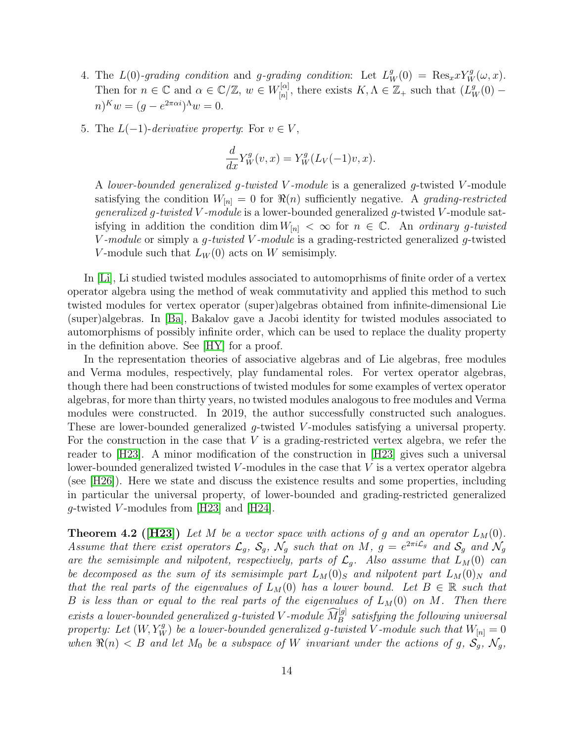- 4. The  $L(0)$ -grading condition and g-grading condition: Let  $L_W^g(0) = \text{Res}_x x Y_W^g(\omega, x)$ . Then for  $n \in \mathbb{C}$  and  $\alpha \in \mathbb{C}/\mathbb{Z}$ ,  $w \in W_{[n]}^{[\alpha]}$  $\mathcal{L}^{[\alpha]}_{[n]}$ , there exists  $K, \Lambda \in \mathbb{Z}_+$  such that  $(L^g_W(0)$  $n)^K w = (g - e^{2\pi \alpha i})^{\Lambda} w = 0.$
- 5. The  $L(-1)$ -derivative property: For  $v \in V$ ,

$$
\frac{d}{dx}Y_W^g(v,x) = Y_W^g(L_V(-1)v,x).
$$

A lower-bounded generalized g-twisted V -module is a generalized g-twisted V -module satisfying the condition  $W_{[n]} = 0$  for  $\Re(n)$  sufficiently negative. A grading-restricted *generalized g-twisted V-module* is a lower-bounded generalized g-twisted V-module satisfying in addition the condition dim  $W_{[n]} < \infty$  for  $n \in \mathbb{C}$ . An ordinary g-twisted V-module or simply a g-twisted V-module is a grading-restricted generalized g-twisted V-module such that  $L_W(0)$  acts on W semisimply.

In [\[Li\]](#page-33-11), Li studied twisted modules associated to automoprhisms of finite order of a vertex operator algebra using the method of weak commutativity and applied this method to such twisted modules for vertex operator (super)algebras obtained from infinite-dimensional Lie (super)algebras. In [\[Ba\]](#page-28-5), Bakalov gave a Jacobi identity for twisted modules associated to automorphisms of possibly infinite order, which can be used to replace the duality property in the definition above. See [\[HY\]](#page-33-12) for a proof.

In the representation theories of associative algebras and of Lie algebras, free modules and Verma modules, respectively, play fundamental roles. For vertex operator algebras, though there had been constructions of twisted modules for some examples of vertex operator algebras, for more than thirty years, no twisted modules analogous to free modules and Verma modules were constructed. In 2019, the author successfully constructed such analogues. These are lower-bounded generalized g-twisted V-modules satisfying a universal property. For the construction in the case that  $V$  is a grading-restricted vertex algebra, we refer the reader to [\[H23\]](#page-31-5). A minor modification of the construction in [\[H23\]](#page-31-5) gives such a universal lower-bounded generalized twisted  $V$ -modules in the case that  $V$  is a vertex operator algebra (see [\[H26\]](#page-31-6)). Here we state and discuss the existence results and some properties, including in particular the universal property, of lower-bounded and grading-restricted generalized *q*-twisted *V*-modules from [\[H23\]](#page-31-5) and [\[H24\]](#page-31-1).

<span id="page-13-0"></span>**Theorem 4.2 ([\[H23\]](#page-31-5))** Let M be a vector space with actions of g and an operator  $L_M(0)$ . Assume that there exist operators  $\mathcal{L}_g$ ,  $\mathcal{S}_g$ ,  $\mathcal{N}_g$  such that on M,  $g = e^{2\pi i \mathcal{L}_g}$  and  $\mathcal{S}_g$  and  $\mathcal{N}_g$ are the semisimple and nilpotent, respectively, parts of  $\mathcal{L}_q$ . Also assume that  $L_M(0)$  can be decomposed as the sum of its semisimple part  $L_M(0)_S$  and nilpotent part  $L_M(0)_N$  and that the real parts of the eigenvalues of  $L_M(0)$  has a lower bound. Let  $B \in \mathbb{R}$  such that B is less than or equal to the real parts of the eigenvalues of  $L_M(0)$  on M. Then there exists a lower-bounded generalized g-twisted V-module  $\widehat{M}_{B}^{[g]}$  satisfying the following universal property: Let  $(W, Y_W^g)$  be a lower-bounded generalized g-twisted V-module such that  $W_{[n]} = 0$ when  $\Re(n) < B$  and let  $M_0$  be a subspace of W invariant under the actions of g,  $S_g$ ,  $\mathcal{N}_g$ ,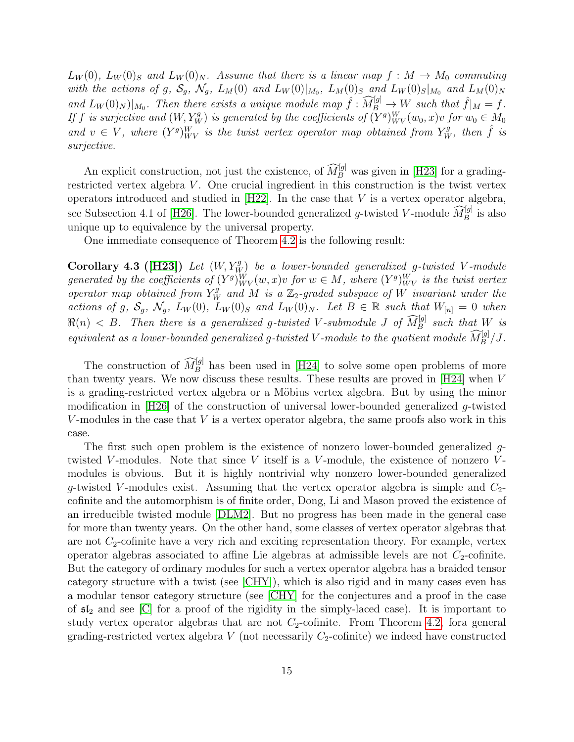$L_W(0)$ ,  $L_W(0)_S$  and  $L_W(0)_N$ . Assume that there is a linear map  $f : M \to M_0$  commuting with the actions of g,  $S_g$ ,  $\mathcal{N}_g$ ,  $L_M(0)$  and  $L_W(0)|_{M_0}$ ,  $L_M(0)_S$  and  $L_W(0)_S|_{M_0}$  and  $L_M(0)_N$ and  $L_W(0)_N$  | $M_0$ . Then there exists a unique module map  $\hat{f}: \widehat{M}_{B}^{[g]} \to W$  such that  $\hat{f}|_M = f$ . If f is surjective and  $(W, Y_W^g)$  is generated by the coefficients of  $(Y^g)_{WV}^W(w_0, x)v$  for  $w_0 \in M_0$ and  $v \in V$ , where  $(Y^g)_{WV}^W$  is the twist vertex operator map obtained from  $Y^g_W$ , then  $\hat{f}$  is surjective.

An explicit construction, not just the existence, of  $\widehat{M}_{B}^{[g]}$  was given in [\[H23\]](#page-31-5) for a gradingrestricted vertex algebra  $V$ . One crucial ingredient in this construction is the twist vertex operators introduced and studied in  $[H22]$ . In the case that V is a vertex operator algebra, see Subsection 4.1 of [\[H26\]](#page-31-6). The lower-bounded generalized g-twisted V-module  $\widehat{M}_{B}^{[g]}$  is also unique up to equivalence by the universal property.

One immediate consequence of Theorem [4.2](#page-13-0) is the following result:

Corollary 4.3 ([\[H23\]](#page-31-5)) Let  $(W, Y_W^g)$  be a lower-bounded generalized g-twisted V-module generated by the coefficients of  $(Y^g)_{WV}^W(w, x)v$  for  $w \in M$ , where  $(Y^g)_{WV}^W$  is the twist vertex operator map obtained from  $Y_W^g$  and M is a  $\mathbb{Z}_2$ -graded subspace of W invariant under the actions of g,  $S_g$ ,  $\mathcal{N}_g$ ,  $L_W(0)$ ,  $L_W(0)_S$  and  $L_W(0)_N$ . Let  $B \in \mathbb{R}$  such that  $W_{[n]} = 0$  when  $\Re(n) < B$ . Then there is a generalized g-twisted V-submodule J of  $\widehat{M}_{B}^{[g]}$  such that W is equivalent as a lower-bounded generalized g-twisted V-module to the quotient module  $\widehat{M}_B^{[g]}/J$ .

The construction of  $\widehat{M}_{B}^{[g]}$  has been used in [\[H24\]](#page-31-1) to solve some open problems of more than twenty years. We now discuss these results. These results are proved in [\[H24\]](#page-31-1) when V is a grading-restricted vertex algebra or a Möbius vertex algebra. But by using the minor modification in [\[H26\]](#page-31-6) of the construction of universal lower-bounded generalized g-twisted V-modules in the case that  $V$  is a vertex operator algebra, the same proofs also work in this case.

The first such open problem is the existence of nonzero lower-bounded generalized gtwisted V-modules. Note that since V itself is a V-module, the existence of nonzero Vmodules is obvious. But it is highly nontrivial why nonzero lower-bounded generalized g-twisted V-modules exist. Assuming that the vertex operator algebra is simple and  $C_2$ cofinite and the automorphism is of finite order, Dong, Li and Mason proved the existence of an irreducible twisted module [\[DLM2\]](#page-29-12). But no progress has been made in the general case for more than twenty years. On the other hand, some classes of vertex operator algebras that are not  $C_2$ -cofinite have a very rich and exciting representation theory. For example, vertex operator algebras associated to affine Lie algebras at admissible levels are not  $C_2$ -cofinite. But the category of ordinary modules for such a vertex operator algebra has a braided tensor category structure with a twist (see [\[CHY\]](#page-28-6)), which is also rigid and in many cases even has a modular tensor category structure (see [\[CHY\]](#page-28-6) for the conjectures and a proof in the case of  $\mathfrak{sl}_2$  and see [\[C\]](#page-28-7) for a proof of the rigidity in the simply-laced case). It is important to study vertex operator algebras that are not  $C_2$ -cofinite. From Theorem [4.2,](#page-13-0) fora general grading-restricted vertex algebra V (not necessarily  $C_2$ -cofinite) we indeed have constructed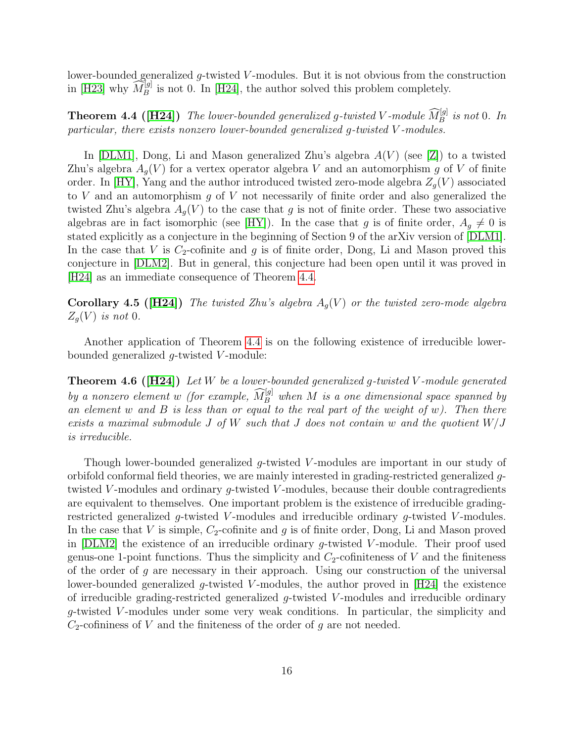lower-bounded generalized g-twisted V-modules. But it is not obvious from the construction in [\[H23\]](#page-31-5) why  $\widehat{M}_B^{[g]}$  is not 0. In [\[H24\]](#page-31-1), the author solved this problem completely.

<span id="page-15-0"></span>**Theorem 4.4 ([\[H24\]](#page-31-1))** The lower-bounded generalized g-twisted V-module  $\widehat{M}_{B}^{[g]}$  is not 0. In particular, there exists nonzero lower-bounded generalized g-twisted V -modules.

In [\[DLM1\]](#page-29-13), Dong, Li and Mason generalized Zhu's algebra  $A(V)$  (see [\[Z\]](#page-35-1)) to a twisted Zhu's algebra  $A_q(V)$  for a vertex operator algebra V and an automorphism g of V of finite order. In [\[HY\]](#page-33-12), Yang and the author introduced twisted zero-mode algebra  $Z_q(V)$  associated to  $V$  and an automorphism  $g$  of  $V$  not necessarily of finite order and also generalized the twisted Zhu's algebra  $A_q(V)$  to the case that g is not of finite order. These two associative algebras are in fact isomorphic (see [\[HY\]](#page-33-12)). In the case that g is of finite order,  $A_q \neq 0$  is stated explicitly as a conjecture in the beginning of Section 9 of the arXiv version of [\[DLM1\]](#page-29-13). In the case that V is  $C_2$ -cofinite and g is of finite order, Dong, Li and Mason proved this conjecture in [\[DLM2\]](#page-29-12). But in general, this conjecture had been open until it was proved in [\[H24\]](#page-31-1) as an immediate consequence of Theorem [4.4.](#page-15-0)

**Corollary 4.5 ([\[H24\]](#page-31-1))** The twisted Zhu's algebra  $A<sub>g</sub>(V)$  or the twisted zero-mode algebra  $Z_g(V)$  is not 0.

Another application of Theorem [4.4](#page-15-0) is on the following existence of irreducible lowerbounded generalized  $g$ -twisted  $V$ -module:

**Theorem 4.6 ([\[H24\]](#page-31-1))** Let W be a lower-bounded generalized q-twisted V-module generated by a nonzero element w (for example,  $\widehat{M}_{B}^{[g]}$  when M is a one dimensional space spanned by an element  $w$  and  $B$  is less than or equal to the real part of the weight of  $w$ ). Then there exists a maximal submodule J of W such that J does not contain w and the quotient  $W/J$ is irreducible.

Though lower-bounded generalized g-twisted V-modules are important in our study of orbifold conformal field theories, we are mainly interested in grading-restricted generalized gtwisted V-modules and ordinary  $g$ -twisted V-modules, because their double contragredients are equivalent to themselves. One important problem is the existence of irreducible gradingrestricted generalized  $q$ -twisted V-modules and irreducible ordinary  $q$ -twisted V-modules. In the case that V is simple,  $C_2$ -cofinite and g is of finite order, Dong, Li and Mason proved in [\[DLM2\]](#page-29-12) the existence of an irreducible ordinary  $g$ -twisted V-module. Their proof used genus-one 1-point functions. Thus the simplicity and  $C_2$ -cofiniteness of V and the finiteness of the order of  $q$  are necessary in their approach. Using our construction of the universal lower-bounded generalized q-twisted V-modules, the author proved in  $[H24]$  the existence of irreducible grading-restricted generalized  $g$ -twisted V-modules and irreducible ordinary g-twisted V -modules under some very weak conditions. In particular, the simplicity and  $C_2$ -cofininess of V and the finiteness of the order of g are not needed.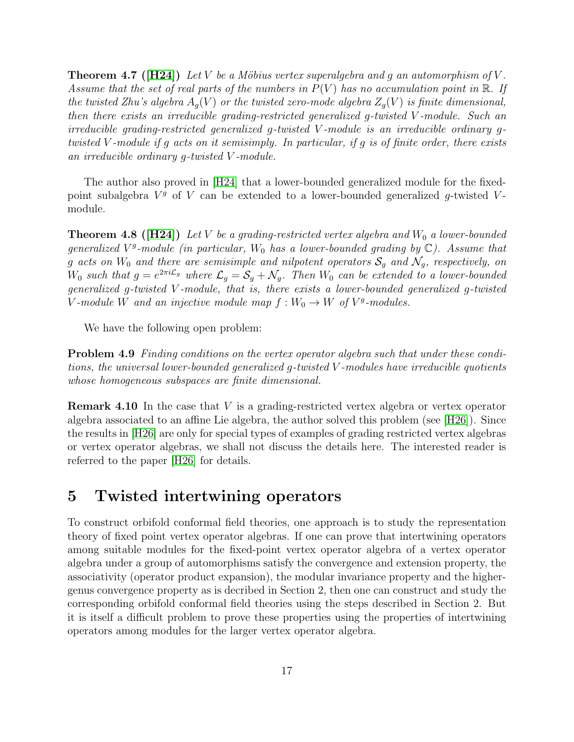**Theorem 4.7** ([\[H24\]](#page-31-1)) Let V be a Möbius vertex superalgebra and g an automorphism of V. Assume that the set of real parts of the numbers in  $P(V)$  has no accumulation point in  $\mathbb R$ . If the twisted Zhu's algebra  $A_q(V)$  or the twisted zero-mode algebra  $Z_q(V)$  is finite dimensional, then there exists an irreducible grading-restricted generalized g-twisted V -module. Such an irreducible grading-restricted generalized g-twisted V -module is an irreducible ordinary gtwisted V -module if g acts on it semisimply. In particular, if g is of finite order, there exists an irreducible ordinary g-twisted V -module.

The author also proved in [\[H24\]](#page-31-1) that a lower-bounded generalized module for the fixedpoint subalgebra  $V^g$  of V can be extended to a lower-bounded generalized g-twisted Vmodule.

<span id="page-16-0"></span>**Theorem 4.8 ([\[H24\]](#page-31-1))** Let V be a grading-restricted vertex algebra and  $W_0$  a lower-bounded generalized  $V^g$ -module (in particular,  $W_0$  has a lower-bounded grading by  $\mathbb{C}$ ). Assume that g acts on  $W_0$  and there are semisimple and nilpotent operators  $S_q$  and  $\mathcal{N}_q$ , respectively, on  $W_0$  such that  $g=e^{2\pi i \mathcal{L}_g}$  where  $\mathcal{L}_g=\mathcal{S}_g+\mathcal{N}_g$ . Then  $W_0$  can be extended to a lower-bounded generalized g-twisted V -module, that is, there exists a lower-bounded generalized g-twisted V-module W and an injective module map  $f: W_0 \to W$  of  $V^g$ -modules.

We have the following open problem:

Problem 4.9 Finding conditions on the vertex operator algebra such that under these conditions, the universal lower-bounded generalized g-twisted V -modules have irreducible quotients whose homogeneous subspaces are finite dimensional.

**Remark 4.10** In the case that V is a grading-restricted vertex algebra or vertex operator algebra associated to an affine Lie algebra, the author solved this problem (see [\[H26\]](#page-31-6)). Since the results in [\[H26\]](#page-31-6) are only for special types of examples of grading restricted vertex algebras or vertex operator algebras, we shall not discuss the details here. The interested reader is referred to the paper [\[H26\]](#page-31-6) for details.

### 5 Twisted intertwining operators

To construct orbifold conformal field theories, one approach is to study the representation theory of fixed point vertex operator algebras. If one can prove that intertwining operators among suitable modules for the fixed-point vertex operator algebra of a vertex operator algebra under a group of automorphisms satisfy the convergence and extension property, the associativity (operator product expansion), the modular invariance property and the highergenus convergence property as is decribed in Section 2, then one can construct and study the corresponding orbifold conformal field theories using the steps described in Section 2. But it is itself a difficult problem to prove these properties using the properties of intertwining operators among modules for the larger vertex operator algebra.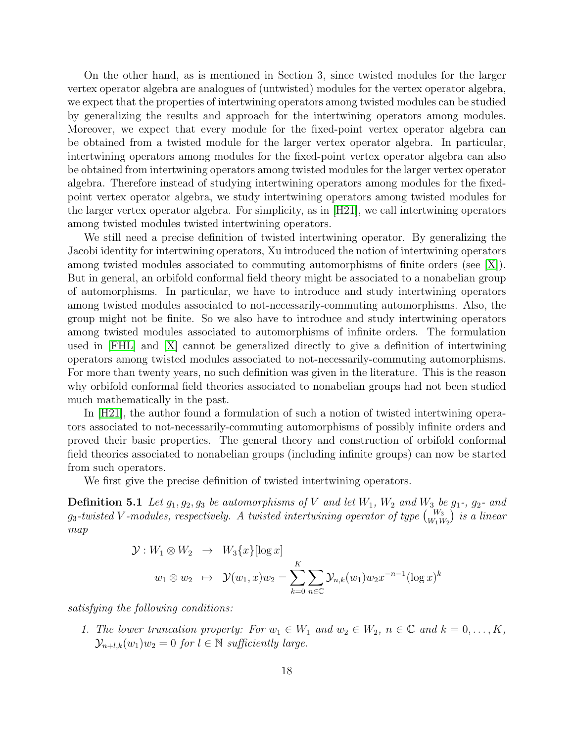On the other hand, as is mentioned in Section 3, since twisted modules for the larger vertex operator algebra are analogues of (untwisted) modules for the vertex operator algebra, we expect that the properties of intertwining operators among twisted modules can be studied by generalizing the results and approach for the intertwining operators among modules. Moreover, we expect that every module for the fixed-point vertex operator algebra can be obtained from a twisted module for the larger vertex operator algebra. In particular, intertwining operators among modules for the fixed-point vertex operator algebra can also be obtained from intertwining operators among twisted modules for the larger vertex operator algebra. Therefore instead of studying intertwining operators among modules for the fixedpoint vertex operator algebra, we study intertwining operators among twisted modules for the larger vertex operator algebra. For simplicity, as in [\[H21\]](#page-31-8), we call intertwining operators among twisted modules twisted intertwining operators.

We still need a precise definition of twisted intertwining operator. By generalizing the Jacobi identity for intertwining operators, Xu introduced the notion of intertwining operators among twisted modules associated to commuting automorphisms of finite orders (see [\[X\]](#page-35-5)). But in general, an orbifold conformal field theory might be associated to a nonabelian group of automorphisms. In particular, we have to introduce and study intertwining operators among twisted modules associated to not-necessarily-commuting automorphisms. Also, the group might not be finite. So we also have to introduce and study intertwining operators among twisted modules associated to automorphisms of infinite orders. The formulation used in [\[FHL\]](#page-29-7) and [\[X\]](#page-35-5) cannot be generalized directly to give a definition of intertwining operators among twisted modules associated to not-necessarily-commuting automorphisms. For more than twenty years, no such definition was given in the literature. This is the reason why orbifold conformal field theories associated to nonabelian groups had not been studied much mathematically in the past.

In [\[H21\]](#page-31-8), the author found a formulation of such a notion of twisted intertwining operators associated to not-necessarily-commuting automorphisms of possibly infinite orders and proved their basic properties. The general theory and construction of orbifold conformal field theories associated to nonabelian groups (including infinite groups) can now be started from such operators.

We first give the precise definition of twisted intertwining operators.

**Definition 5.1** Let  $g_1, g_2, g_3$  be automorphisms of V and let  $W_1$ ,  $W_2$  and  $W_3$  be  $g_1$ -,  $g_2$ - and  $g_3$ -twisted V-modules, respectively. A twisted intertwining operator of type  ${W_3 \choose W_1 W_2}$  is a linear map

$$
\mathcal{Y}: W_1 \otimes W_2 \rightarrow W_3\{x\}[\log x]
$$
  

$$
w_1 \otimes w_2 \rightarrow \mathcal{Y}(w_1, x)w_2 = \sum_{k=0}^K \sum_{n \in \mathbb{C}} \mathcal{Y}_{n,k}(w_1)w_2 x^{-n-1}(\log x)^k
$$

satisfying the following conditions:

1. The lower truncation property: For  $w_1 \in W_1$  and  $w_2 \in W_2$ ,  $n \in \mathbb{C}$  and  $k = 0, \ldots, K$ ,  $\mathcal{Y}_{n+l,k}(w_1)w_2 = 0$  for  $l \in \mathbb{N}$  sufficiently large.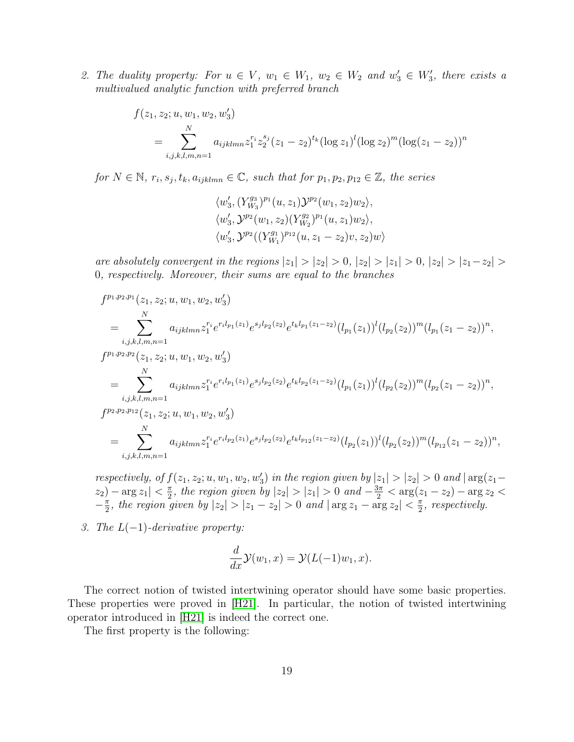2. The duality property: For  $u \in V$ ,  $w_1 \in W_1$ ,  $w_2 \in W_2$  and  $w'_3 \in W'_3$ , there exists a multivalued analytic function with preferred branch

$$
f(z_1, z_2; u, w_1, w_2, w'_3)
$$
  
= 
$$
\sum_{i,j,k,l,m,n=1}^{N} a_{ijklmn} z_1^{r_i} z_2^{s_j} (z_1 - z_2)^{t_k} (\log z_1)^l (\log z_2)^m (\log(z_1 - z_2))^n
$$

for  $N \in \mathbb{N}$ ,  $r_i, s_j, t_k, a_{ijklmn} \in \mathbb{C}$ , such that for  $p_1, p_2, p_{12} \in \mathbb{Z}$ , the series

$$
\langle w_3', (Y^{g_3}_{W_3})^{p_1}(u, z_1) \mathcal{Y}^{p_2}(w_1, z_2) w_2 \rangle, \langle w_3', \mathcal{Y}^{p_2}(w_1, z_2) (Y^{g_2}_{W_2})^{p_1}(u, z_1) w_2 \rangle, \langle w_3', \mathcal{Y}^{p_2}((Y^{g_1}_{W_1})^{p_{12}}(u, z_1 - z_2) v, z_2) w \rangle
$$

are absolutely convergent in the regions  $|z_1| > |z_2| > 0$ ,  $|z_2| > |z_1| > 0$ ,  $|z_2| > |z_1 - z_2| >$ 0, respectively. Moreover, their sums are equal to the branches

$$
f^{p_1,p_2,p_1}(z_1, z_2; u, w_1, w_2, w'_3)
$$
  
\n
$$
= \sum_{i,j,k,l,m,n=1}^N a_{ijklmn} z_1^{r_i} e^{r_i l_{p_1}(z_1)} e^{s_j l_{p_2}(z_2)} e^{t_k l_{p_1}(z_1 - z_2)} (l_{p_1}(z_1))^l (l_{p_2}(z_2))^m (l_{p_1}(z_1 - z_2))^n,
$$
  
\n
$$
f^{p_1,p_2,p_2}(z_1, z_2; u, w_1, w_2, w'_3)
$$
  
\n
$$
= \sum_{i,j,k,l,m,n=1}^N a_{ijklmn} z_1^{r_i} e^{r_i l_{p_1}(z_1)} e^{s_j l_{p_2}(z_2)} e^{t_k l_{p_2}(z_1 - z_2)} (l_{p_1}(z_1))^l (l_{p_2}(z_2))^m (l_{p_2}(z_1 - z_2))^n,
$$
  
\n
$$
f^{p_2,p_2,p_{12}}(z_1, z_2; u, w_1, w_2, w'_3)
$$
  
\n
$$
= \sum_{i,j,k,l,m,n=1}^N a_{ijklmn} z_1^{r_i} e^{r_i l_{p_2}(z_1)} e^{s_j l_{p_2}(z_2)} e^{t_k l_{p_{12}}(z_1 - z_2)} (l_{p_2}(z_1))^l (l_{p_2}(z_2))^m (l_{p_{12}}(z_1 - z_2))^n,
$$

respectively, of  $f(z_1, z_2; u, w_1, w_2, w'_3)$  in the region given by  $|z_1| > |z_2| > 0$  and  $|\arg(z_1 |z_2|$  –  $\arg z_1| < \frac{\pi}{2}$  $\frac{\pi}{2}$ , the region given by  $|z_2| > |z_1| > 0$  and  $-\frac{3\pi}{2} < \arg(z_1 - z_2) - \arg z_2 <$  $-\frac{\pi}{2}$  $\frac{\pi}{2}$ , the region given by  $|z_2| > |z_1 - z_2| > 0$  and  $|\arg z_1 - \arg z_2| < \frac{\pi}{2}$  $\frac{\pi}{2}$ , respectively.

3. The  $L(-1)$ -derivative property:

$$
\frac{d}{dx}\mathcal{Y}(w_1,x) = \mathcal{Y}(L(-1)w_1,x).
$$

The correct notion of twisted intertwining operator should have some basic properties. These properties were proved in [\[H21\]](#page-31-8). In particular, the notion of twisted intertwining operator introduced in [\[H21\]](#page-31-8) is indeed the correct one.

The first property is the following: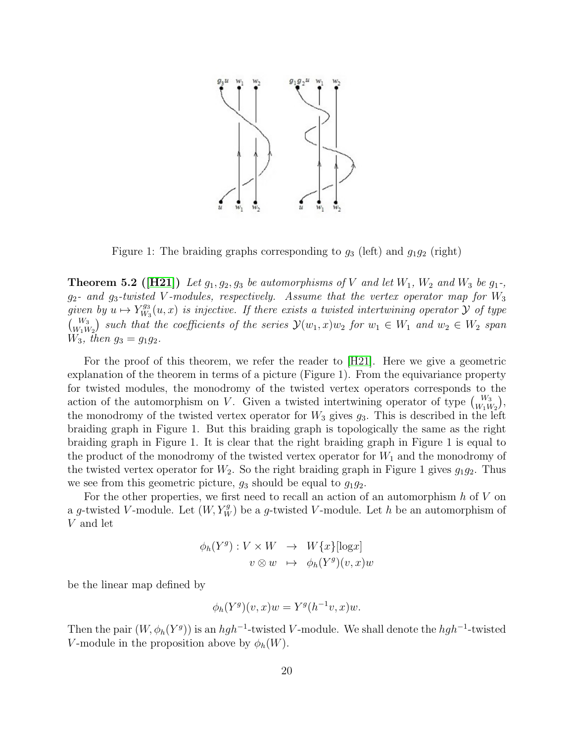

Figure 1: The braiding graphs corresponding to  $g_3$  (left) and  $g_1g_2$  (right)

**Theorem 5.2** ([\[H21\]](#page-31-8)) Let  $g_1, g_2, g_3$  be automorphisms of V and let  $W_1$ ,  $W_2$  and  $W_3$  be  $g_1$ -,  $g_2$ - and  $g_3$ -twisted V-modules, respectively. Assume that the vertex operator map for  $W_3$ given by  $u \mapsto Y_{W_3}^{g_3}$  $W^{g_3}_{W_3}(u, x)$  is injective. If there exists a twisted intertwining operator  ${\cal Y}$  of type  $\begin{pmatrix} W_3 \ W_1W_2 \end{pmatrix}$  such that the coefficients of the series  $\mathcal{Y}(w_1, x)w_2$  for  $w_1 \in W_1$  and  $w_2 \in W_2$  span  $W_3$ , then  $g_3 = g_1 g_2$ .

For the proof of this theorem, we refer the reader to [\[H21\]](#page-31-8). Here we give a geometric explanation of the theorem in terms of a picture (Figure 1). From the equivariance property for twisted modules, the monodromy of the twisted vertex operators corresponds to the action of the automorphism on V. Given a twisted intertwining operator of type  $\binom{W_3}{W_1W_2}$ , the monodromy of the twisted vertex operator for  $W_3$  gives  $g_3$ . This is described in the left braiding graph in Figure 1. But this braiding graph is topologically the same as the right braiding graph in Figure 1. It is clear that the right braiding graph in Figure 1 is equal to the product of the monodromy of the twisted vertex operator for  $W_1$  and the monodromy of the twisted vertex operator for  $W_2$ . So the right braiding graph in Figure 1 gives  $g_1g_2$ . Thus we see from this geometric picture,  $g_3$  should be equal to  $g_1g_2$ .

For the other properties, we first need to recall an action of an automorphism  $h$  of  $V$  on a g-twisted V-module. Let  $(W, Y_W^g)$  be a g-twisted V-module. Let h be an automorphism of V and let

$$
\phi_h(Y^g) : V \times W \to W\{x\}[\log x]
$$
  

$$
v \otimes w \mapsto \phi_h(Y^g)(v, x)w
$$

be the linear map defined by

$$
\phi_h(Y^g)(v, x)w = Y^g(h^{-1}v, x)w.
$$

Then the pair  $(W, \phi_h(Y^g))$  is an  $hgh^{-1}$ -twisted V-module. We shall denote the  $hgh^{-1}$ -twisted V-module in the proposition above by  $\phi_h(W)$ .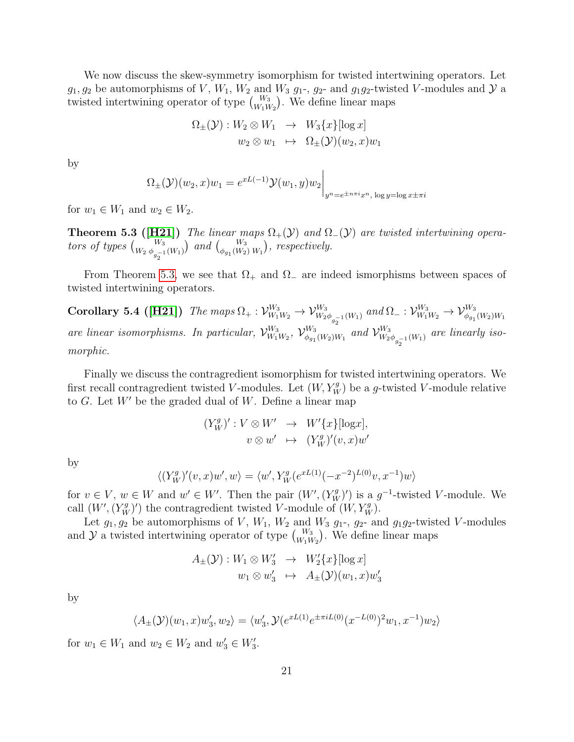We now discuss the skew-symmetry isomorphism for twisted intertwining operators. Let  $g_1, g_2$  be automorphisms of V,  $W_1, W_2$  and  $W_3$   $g_1$ -,  $g_2$ - and  $g_1g_2$ -twisted V-modules and  $\mathcal Y$  a twisted intertwining operator of type  $\binom{W_3}{W_1W_2}$ . We define linear maps

$$
\Omega_{\pm}(\mathcal{Y}): W_2 \otimes W_1 \rightarrow W_3\{x\} [\log x]
$$
  

$$
w_2 \otimes w_1 \rightarrow \Omega_{\pm}(\mathcal{Y})(w_2, x)w_1
$$

by

$$
\Omega_{\pm}(\mathcal{Y})(w_2, x)w_1 = e^{xL(-1)}\mathcal{Y}(w_1, y)w_2\bigg|_{y^n = e^{\pm n\pi i}x^n, \log y = \log x \pm \pi i}
$$

<span id="page-20-0"></span>for  $w_1 \in W_1$  and  $w_2 \in W_2$ .

**Theorem 5.3 ([\[H21\]](#page-31-8))** The linear maps  $\Omega_+(\mathcal{Y})$  and  $\Omega_-(\mathcal{Y})$  are twisted intertwining operators of types  $\binom{W_3}{W_2 \phi_{g_2^{-1}}(W_1)}$  and  $\binom{W_3}{\phi_{g_1}(W_2) W_1}$ , respectively.

From Theorem [5.3,](#page-20-0) we see that  $\Omega_+$  and  $\Omega_-$  are indeed ismorphisms between spaces of twisted intertwining operators.

Corollary 5.4 ([\[H21\]](#page-31-8)) The maps  $\Omega_+ : \mathcal{V}_{W_1 W_2}^{W_3} \to \mathcal{V}_{W_2 \phi_{g_2^{-1}}(W_1)}^{W_3}$  and  $\Omega_- : \mathcal{V}_{W_1 W_2}^{W_3} \to \mathcal{V}_{\phi_{g_1}(W_2)W_1}^{W_3}$ are linear isomorphisms. In particular,  $\mathcal{V}_{W_1}^{W_3}$  $\mathcal{W}_3^{W_3} \mathcal{W}_4^{W_3}$  $\psi_{\theta_{g_1}(W_2)W_1}^{W_3}$  and  $\mathcal{V}_{W_2}^{W_3}$  $\frac{W_3}{W_2 \phi_{g_2^{-1}}(W_1)}$  are linearly isomorphic.

Finally we discuss the contragredient isomorphism for twisted intertwining operators. We first recall contragredient twisted V-modules. Let  $(W, Y_W^g)$  be a g-twisted V-module relative to  $G$ . Let  $W'$  be the graded dual of  $W$ . Define a linear map

$$
(Y_W^g)' : V \otimes W' \rightarrow W'\{x\}[\log x],
$$
  

$$
v \otimes w' \rightarrow (Y_W^g)'(v, x)w'
$$

by

$$
\langle (Y_W^g)'(v,x)w',w \rangle = \langle w', Y_W^g(e^{xL(1)}(-x^{-2})^{L(0)}v,x^{-1})w \rangle
$$

for  $v \in V$ ,  $w \in W$  and  $w' \in W'$ . Then the pair  $(W', (Y_W^g)')$  is a  $g^{-1}$ -twisted V-module. We call  $(W', (Y_W^g)')$  the contragredient twisted V-module of  $(W, Y_W^g)$ .

Let  $g_1, g_2$  be automorphisms of V,  $W_1, W_2$  and  $W_3$   $g_1$ -,  $g_2$ - and  $g_1g_2$ -twisted V-modules and  $\mathcal{Y}$  a twisted intertwining operator of type  $\binom{W_3}{W_1W_2}$ . We define linear maps

$$
A_{\pm}(\mathcal{Y}): W_1 \otimes W_3' \rightarrow W_2'\{x\} [\log x]
$$
  

$$
w_1 \otimes w_3' \rightarrow A_{\pm}(\mathcal{Y})(w_1, x)w_3'
$$

by

$$
\langle A_{\pm}(\mathcal{Y})(w_1, x)w_3', w_2 \rangle = \langle w_3', \mathcal{Y}(e^{xL(1)}e^{\pm \pi i L(0)}(x^{-L(0)})^2 w_1, x^{-1})w_2 \rangle
$$

<span id="page-20-1"></span>for  $w_1 \in W_1$  and  $w_2 \in W_2$  and  $w'_3 \in W'_3$ .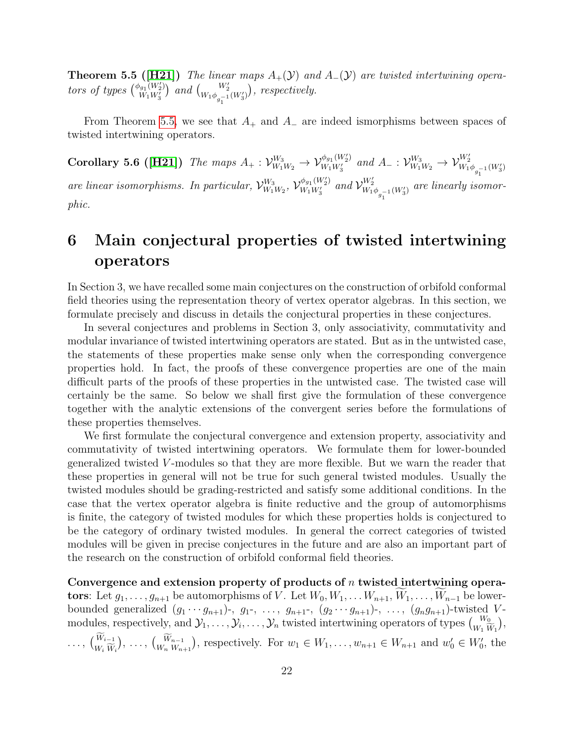**Theorem 5.5 ([\[H21\]](#page-31-8))** The linear maps  $A_+(\mathcal{Y})$  and  $A_-(\mathcal{Y})$  are twisted intertwining operators of types  $\binom{\phi_{g_1}(W_2')}{W_1\cdots W_n'}$  $\binom{w_1}{w_1w_3'}$  and  $\binom{W_2'}{w_1\phi_{g_1^{-1}}(W_3')}$ , respectively.

From Theorem [5.5,](#page-20-1) we see that  $A_+$  and  $A_-$  are indeed ismorphisms between spaces of twisted intertwining operators.

Corollary 5.6 ([\[H21\]](#page-31-8)) The maps  $A_+ : \mathcal{V}_{W_1 W_2}^{W_3} \to \mathcal{V}_{W_1 W_3'}^{\phi_{g_1}(W_2')}$  $W_1W_2^{\phi_{g_1}(W_2')}$  and  $A_-: \mathcal{V}_{W_1W_2}^{W_3} \to \mathcal{V}_{W_1\phi_{g_1^{-1}}(W_3')}^{W_2'}$ 1 are linear isomorphisms. In particular,  $\mathcal{V}_{W_1}^{W_3}$  $\frac{W_3}{W_1W_2},\ \mathcal{V}_{W_1W_3'}^{\phi_{g_1}(W_2')}$  $\frac{\phi_{g_1}(W_2')}{W_1W_3'}$  and  $\mathcal{V}_{W_1\phi_{g_1^{-1}}(W_3')}^{W_2'}$  are linearly isomorphic.

## 6 Main conjectural properties of twisted intertwining operators

In Section 3, we have recalled some main conjectures on the construction of orbifold conformal field theories using the representation theory of vertex operator algebras. In this section, we formulate precisely and discuss in details the conjectural properties in these conjectures.

In several conjectures and problems in Section 3, only associativity, commutativity and modular invariance of twisted intertwining operators are stated. But as in the untwisted case, the statements of these properties make sense only when the corresponding convergence properties hold. In fact, the proofs of these convergence properties are one of the main difficult parts of the proofs of these properties in the untwisted case. The twisted case will certainly be the same. So below we shall first give the formulation of these convergence together with the analytic extensions of the convergent series before the formulations of these properties themselves.

We first formulate the conjectural convergence and extension property, associativity and commutativity of twisted intertwining operators. We formulate them for lower-bounded generalized twisted V -modules so that they are more flexible. But we warn the reader that these properties in general will not be true for such general twisted modules. Usually the twisted modules should be grading-restricted and satisfy some additional conditions. In the case that the vertex operator algebra is finite reductive and the group of automorphisms is finite, the category of twisted modules for which these properties holds is conjectured to be the category of ordinary twisted modules. In general the correct categories of twisted modules will be given in precise conjectures in the future and are also an important part of the research on the construction of orbifold conformal field theories.

Convergence and extension property of products of  $n$  twisted intertwining operators: Let  $g_1, \ldots, g_{n+1}$  be automorphisms of V. Let  $W_0, W_1, \ldots, W_{n+1}, W_1, \ldots, W_{n-1}$  be lowerbounded generalized  $(g_1 \cdots g_{n+1})$ -,  $g_1$ -,  $\ldots, g_{n+1}$ -,  $(g_2 \cdots g_{n+1})$ -,  $\ldots, (g_n g_{n+1})$ -twisted Vmodules, respectively, and  $\mathcal{Y}_1, \ldots, \mathcal{Y}_i, \ldots, \mathcal{Y}_n$  twisted intertwining operators of types  $\binom{W_0}{W_1 \widetilde{W}_1}$  ,  $\ldots, \, \binom{W_{i-1}}{W_{i-1}}$  $W_i W_i$ ), ...,  $\binom{W_{n-1}}{W_n W_{n+1}}$ , respectively. For  $w_1 \in W_1, \ldots, w_{n+1} \in W_{n+1}$  and  $w'_0 \in W'_0$ , the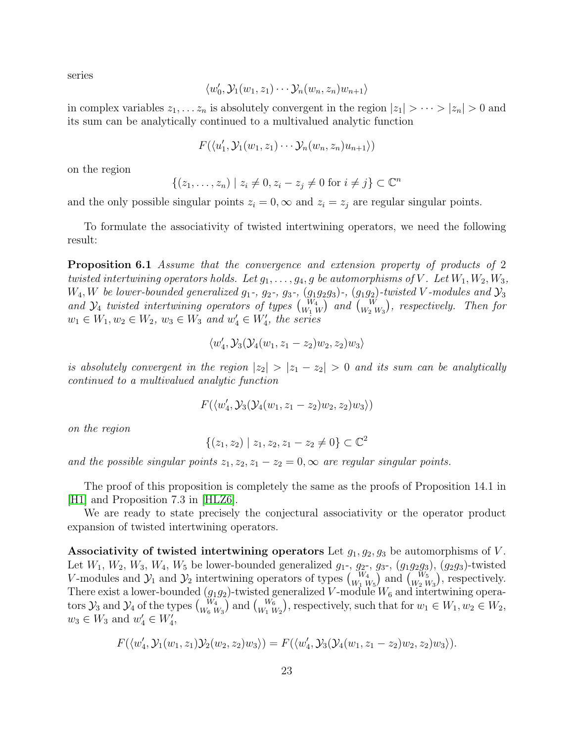series

$$
\langle w'_0, \mathcal{Y}_1(w_1, z_1) \cdots \mathcal{Y}_n(w_n, z_n) w_{n+1} \rangle
$$

in complex variables  $z_1, \ldots z_n$  is absolutely convergent in the region  $|z_1| > \cdots > |z_n| > 0$  and its sum can be analytically continued to a multivalued analytic function

$$
F(\langle u'_1, \mathcal{Y}_1(w_1, z_1) \cdots \mathcal{Y}_n(w_n, z_n) u_{n+1} \rangle)
$$

on the region

$$
\{(z_1,\ldots,z_n) \mid z_i \neq 0, z_i - z_j \neq 0 \text{ for } i \neq j\} \subset \mathbb{C}^n
$$

and the only possible singular points  $z_i = 0$ ,  $\infty$  and  $z_i = z_j$  are regular singular points.

To formulate the associativity of twisted intertwining operators, we need the following result:

Proposition 6.1 Assume that the convergence and extension property of products of 2 twisted intertwining operators holds. Let  $g_1, \ldots, g_4, g$  be automorphisms of V. Let  $W_1, W_2, W_3$ ,  $W_4, W$  be lower-bounded generalized  $g_1$ -,  $g_2$ -,  $g_3$ -,  $(g_1g_2g_3)$ -,  $(g_1g_2)$ -twisted V-modules and  $\mathcal{Y}_3$ and  $\mathcal{Y}_4$  twisted intertwining operators of types  ${W_4 \choose W_1\ W}$  and  ${W \choose W_2\ W_3}$ , respectively. Then for  $w_1 \in W_1, w_2 \in W_2, w_3 \in W_3$  and  $w'_4 \in W'_4$ , the series

$$
\langle w_4',\mathcal{Y}_3(\mathcal{Y}_4(w_1,z_1-z_2)w_2,z_2)w_3\rangle
$$

is absolutely convergent in the region  $|z_2| > |z_1 - z_2| > 0$  and its sum can be analytically continued to a multivalued analytic function

$$
F(\langle w_4', \mathcal{Y}_3(\mathcal{Y}_4(w_1, z_1-z_2)w_2, z_2)w_3 \rangle)
$$

on the region

$$
\{(z_1, z_2) \mid z_1, z_2, z_1 - z_2 \neq 0\} \subset \mathbb{C}^2
$$

and the possible singular points  $z_1, z_2, z_1 - z_2 = 0, \infty$  are regular singular points.

The proof of this proposition is completely the same as the proofs of Proposition 14.1 in [H<sub>1</sub>] and Proposition 7.3 in [H<sub>L</sub>Z6].

We are ready to state precisely the conjectural associativity or the operator product expansion of twisted intertwining operators.

Associativity of twisted intertwining operators Let  $g_1, g_2, g_3$  be automorphisms of V. Let  $W_1, W_2, W_3, W_4, W_5$  be lower-bounded generalized  $g_1, g_2, g_3, (g_1g_2g_3), (g_2g_3)$ -twisted V-modules and  $\mathcal{Y}_1$  and  $\mathcal{Y}_2$  intertwining operators of types  $\binom{W_4}{W_1 W_5}$  and  $\binom{W_5}{W_2 W_3}$ , respectively. There exist a lower-bounded  $(g_1g_2)$ -twisted generalized V-module  $W_6$  and intertwining operators  $\mathcal{Y}_3$  and  $\mathcal{Y}_4$  of the types  $\begin{pmatrix} W_4 \\ W_6 \ W_3 \end{pmatrix}$  and  $\begin{pmatrix} W_6 \\ W_1 \ W_2 \end{pmatrix}$ , respectively, such that for  $w_1 \in W_1, w_2 \in W_2$ ,  $w_3 \in W_3$  and  $w'_4 \in W'_4$ ,

$$
F(\langle w_4', \mathcal{Y}_1(w_1, z_1)\mathcal{Y}_2(w_2, z_2)w_3 \rangle) = F(\langle w_4', \mathcal{Y}_3(\mathcal{Y}_4(w_1, z_1 - z_2)w_2, z_2)w_3 \rangle).
$$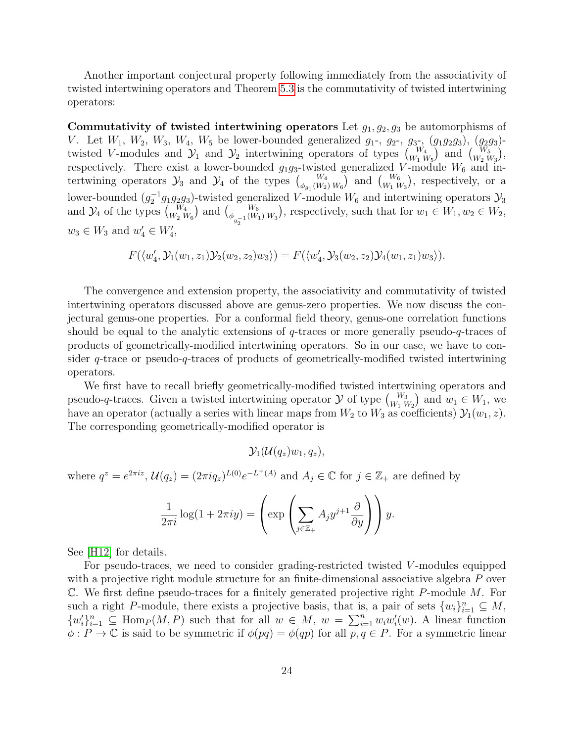Another important conjectural property following immediately from the associativity of twisted intertwining operators and Theorem [5.3](#page-20-0) is the commutativity of twisted intertwining operators:

Commutativity of twisted intertwining operators Let  $g_1, g_2, g_3$  be automorphisms of V. Let  $W_1, W_2, W_3, W_4, W_5$  be lower-bounded generalized  $g_1, g_2, g_3, (g_1g_2g_3), (g_2g_3)$ twisted V-modules and  $\mathcal{Y}_1$  and  $\mathcal{Y}_2$  intertwining operators of types  $\begin{pmatrix} W_4 \\ W_1 \ W_5 \end{pmatrix}$  and  $\begin{pmatrix} W_5 \\ W_2 \ W_3 \end{pmatrix}$ , respectively. There exist a lower-bounded  $g_1g_3$ -twisted generalized V-module  $W_6$  and intertwining operators  $\mathcal{Y}_3$  and  $\mathcal{Y}_4$  of the types  $\binom{W_4}{\phi_{g_1}(W_2) W_6}$  and  $\binom{W_6}{W_1 W_3}$ , respectively, or a lower-bounded  $(g_2^{-1}g_1g_2g_3)$ -twisted generalized V-module  $W_6$  and intertwining operators  $\mathcal{Y}_3$ and  $\mathcal{Y}_4$  of the types  $\binom{W_4}{W_2 W_6}$  and  $\binom{W_6}{\phi_{g_2^{-1}}(W_1) W_3}$ , respectively, such that for  $w_1 \in W_1, w_2 \in W_2$ ,  $w_3 \in W_3$  and  $w'_4 \in W'_4$ ,

$$
F(\langle w_4', \mathcal{Y}_1(w_1, z_1)\mathcal{Y}_2(w_2, z_2)w_3 \rangle) = F(\langle w_4', \mathcal{Y}_3(w_2, z_2)\mathcal{Y}_4(w_1, z_1)w_3 \rangle).
$$

The convergence and extension property, the associativity and commutativity of twisted intertwining operators discussed above are genus-zero properties. We now discuss the conjectural genus-one properties. For a conformal field theory, genus-one correlation functions should be equal to the analytic extensions of q-traces or more generally pseudo-q-traces of products of geometrically-modified intertwining operators. So in our case, we have to consider q-trace or pseudo-q-traces of products of geometrically-modified twisted intertwining operators.

We first have to recall briefly geometrically-modified twisted intertwining operators and pseudo-q-traces. Given a twisted intertwining operator  $\mathcal Y$  of type  ${W_3 \choose W_1 W_2}$  and  $w_1 \in W_1$ , we have an operator (actually a series with linear maps from  $W_2$  to  $W_3$  as coefficients)  $\mathcal{Y}_1(w_1, z)$ . The corresponding geometrically-modified operator is

$$
\mathcal{Y}_1(\mathcal{U}(q_z)w_1, q_z),
$$

where  $q^z = e^{2\pi i z}$ ,  $\mathcal{U}(q_z) = (2\pi i q_z)^{L(0)} e^{-L^+(A)}$  and  $A_j \in \mathbb{C}$  for  $j \in \mathbb{Z}_+$  are defined by

$$
\frac{1}{2\pi i} \log(1 + 2\pi i y) = \left( \exp\left( \sum_{j \in \mathbb{Z}_+} A_j y^{j+1} \frac{\partial}{\partial y} \right) \right) y.
$$

See [\[H12\]](#page-30-1) for details.

For pseudo-traces, we need to consider grading-restricted twisted V -modules equipped with a projective right module structure for an finite-dimensional associative algebra P over  $\mathbb C$ . We first define pseudo-traces for a finitely generated projective right P-module M. For such a right P-module, there exists a projective basis, that is, a pair of sets  $\{w_i\}_{i=1}^n \subseteq M$ ,  $\{w_i'\}_{i=1}^n \subseteq \text{Hom}_P(M, P)$  such that for all  $w \in M$ ,  $w = \sum_{i=1}^n w_i w_i'(w)$ . A linear function  $\phi: P \to \mathbb{C}$  is said to be symmetric if  $\phi(pq) = \phi(qp)$  for all  $p, q \in P$ . For a symmetric linear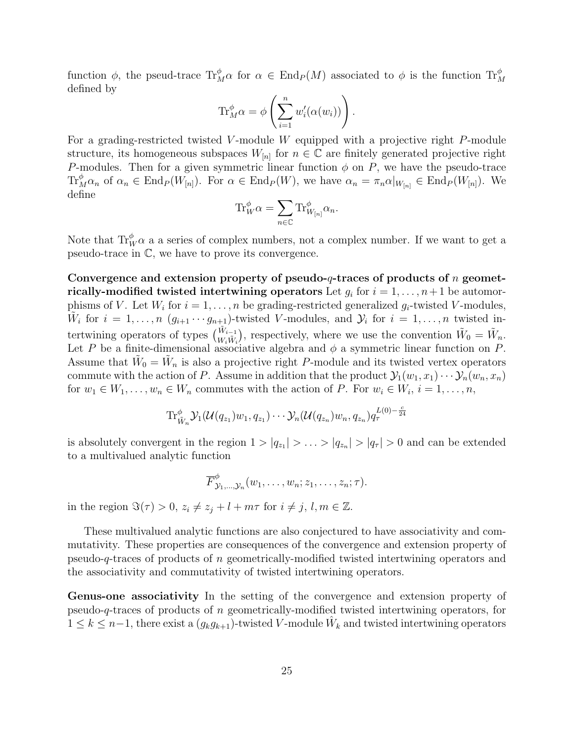function  $\phi$ , the pseud-trace  $\text{Tr}_{M}^{\phi}\alpha$  for  $\alpha \in \text{End}_{P}(M)$  associated to  $\phi$  is the function  $\text{Tr}_{M}^{\phi}$ defined by

$$
\operatorname{Tr}^{\phi}_M \alpha = \phi \left( \sum_{i=1}^n w'_i(\alpha(w_i)) \right).
$$

For a grading-restricted twisted V-module W equipped with a projective right  $P$ -module structure, its homogeneous subspaces  $W_{[n]}$  for  $n \in \mathbb{C}$  are finitely generated projective right P-modules. Then for a given symmetric linear function  $\phi$  on P, we have the pseudo-trace  $\text{Tr}_{M}^{\phi}\alpha_{n}$  of  $\alpha_{n} \in \text{End}_{P}(W_{[n]})$ . For  $\alpha \in \text{End}_{P}(W)$ , we have  $\alpha_{n} = \pi_{n}\alpha|_{W_{[n]}} \in \text{End}_{P}(W_{[n]})$ . We define

$$
\mathrm{Tr}_{W}^{\phi}\alpha=\sum_{n\in\mathbb{C}}\mathrm{Tr}_{W_{[n]}}^{\phi}\alpha_{n}.
$$

Note that  $\text{Tr}_{W}^{\phi} \alpha$  a a series of complex numbers, not a complex number. If we want to get a pseudo-trace in C, we have to prove its convergence.

Convergence and extension property of pseudo-q-traces of products of n geometrically-modified twisted intertwining operators Let  $g_i$  for  $i=1,\ldots,n+1$  be automorphisms of V. Let  $W_i$  for  $i = 1, ..., n$  be grading-restricted generalized  $g_i$ -twisted V-modules,  $W_i$  for  $i = 1, \ldots, n$   $(g_{i+1} \cdots g_{n+1})$ -twisted V-modules, and  $\mathcal{Y}_i$  for  $i = 1, \ldots, n$  twisted intertwining operators of types  $\begin{pmatrix} \tilde{W}_{i-1} \\ W_i \tilde{W}_i \end{pmatrix}$ , respectively, where we use the convention  $\tilde{W}_0 = \tilde{W}_n$ . Let P be a finite-dimensional associative algebra and  $\phi$  a symmetric linear function on P. Assume that  $\tilde{W}_0 = \tilde{W}_n$  is also a projective right P-module and its twisted vertex operators commute with the action of P. Assume in addition that the product  $\mathcal{Y}_1(w_1, x_1) \cdots \mathcal{Y}_n(w_n, x_n)$ for  $w_1 \in W_1, \ldots, w_n \in W_n$  commutes with the action of P. For  $w_i \in W_i$ ,  $i = 1, \ldots, n$ ,

$$
\mathrm{Tr}^{\phi}_{\tilde{W}_n} \mathcal{Y}_1(\mathcal{U}(q_{z_1})w_1, q_{z_1}) \cdots \mathcal{Y}_n(\mathcal{U}(q_{z_n})w_n, q_{z_n}) q_{\tau}^{L(0)-\frac{c}{24}}
$$

is absolutely convergent in the region  $1 > |q_{z_1}| > \ldots > |q_{z_n}| > |q_{\tau}| > 0$  and can be extended to a multivalued analytic function

$$
\overline{F}_{\mathcal{Y}_1,\ldots,\mathcal{Y}_n}^{\phi}(w_1,\ldots,w_n;z_1,\ldots,z_n;\tau).
$$

in the region  $\Im(\tau) > 0$ ,  $z_i \neq z_j + l + m\tau$  for  $i \neq j$ ,  $l, m \in \mathbb{Z}$ .

These multivalued analytic functions are also conjectured to have associativity and commutativity. These properties are consequences of the convergence and extension property of pseudo-q-traces of products of n geometrically-modified twisted intertwining operators and the associativity and commutativity of twisted intertwining operators.

Genus-one associativity In the setting of the convergence and extension property of pseudo-q-traces of products of n geometrically-modified twisted intertwining operators, for  $1 \leq k \leq n-1$ , there exist a  $(g_k g_{k+1})$ -twisted V-module  $\hat{W}_k$  and twisted intertwining operators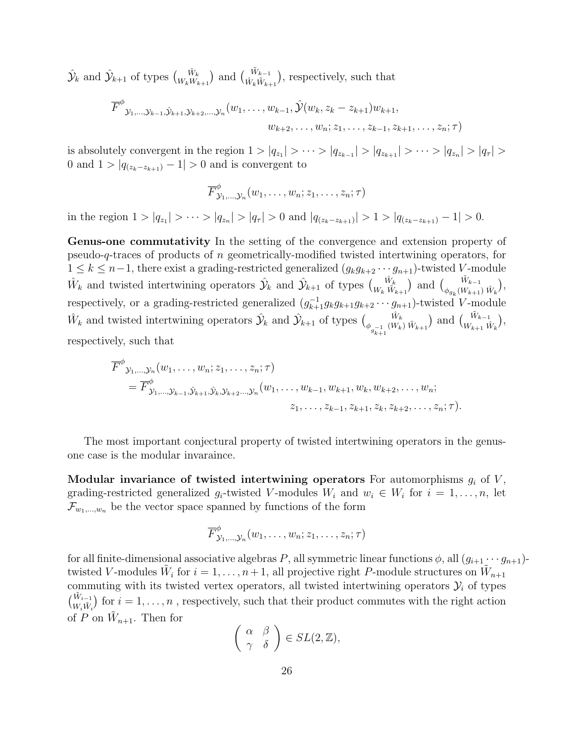$\hat{\mathcal{Y}}_k$  and  $\hat{\mathcal{Y}}_{k+1}$  of types  $\binom{\hat{W}_k}{W_kW_{k+1}}$  and  $\binom{\hat{W}_{k-1}}{\hat{W}_k\hat{W}_{k+1}}$ , respectively, such that

$$
\overline{F}^{\phi} y_{1,\dots,y_{k-1},\hat{y}_{k+1},y_{k+2},\dots,y_n}(w_1,\dots,w_{k-1},\hat{y}(w_k,z_k-z_{k+1})w_{k+1},\dots,\hat{z}_{k-1},\hat{z}_{k+1},\dots,z_n;\tau)
$$

is absolutely convergent in the region  $1 > |q_{z_1}| > \cdots > |q_{z_{k-1}}| > |q_{z_{k+1}}| > \cdots > |q_{z_n}| > |q_{\tau}| >$ 0 and  $1 > |q_{(z_k - z_{k+1})} - 1| > 0$  and is convergent to

$$
\overline{F}^{\phi}_{\mathcal{Y}_1,\ldots,\mathcal{Y}_n}(w_1,\ldots,w_n;z_1,\ldots,z_n;\tau)
$$

in the region  $1 > |q_{z_1}| > \cdots > |q_{z_n}| > |q_{\tau}| > 0$  and  $|q_{(z_k - z_{k+1})}| > 1 > |q_{(z_k - z_{k+1})} - 1| > 0$ .

Genus-one commutativity In the setting of the convergence and extension property of pseudo-q-traces of products of n geometrically-modified twisted intertwining operators, for  $1 \leq k \leq n-1$ , there exist a grading-restricted generalized  $(g_k g_{k+2} \cdots g_{n+1})$ -twisted V-module  $\hat{W}_k$  and twisted intertwining operators  $\hat{\mathcal{Y}}_k$  and  $\hat{\mathcal{Y}}_{k+1}$  of types  $\begin{pmatrix} \hat{W}_k \\ W_k \tilde{W}_{k+1} \end{pmatrix}$  and  $\begin{pmatrix} \tilde{W}_{k-1} \\ \phi_{g_k}(W_{k+1}) \end{pmatrix}$  $\frac{W_{k-1}}{\phi_{g_k}(W_{k+1}) \hat{W}_k},$ respectively, or a grading-restricted generalized  $(g_{k+1}^{-1}g_kg_{k+1}g_{k+2}\cdots g_{n+1})$ -twisted V-module  $\hat{W}_k$  and twisted intertwining operators  $\hat{Y}_k$  and  $\hat{Y}_{k+1}$  of types  $\begin{pmatrix} \hat{W}_k \\ \phi_{g_{k+1}^{-1}}(W_k) \ \tilde{W}_{k+1} \end{pmatrix}$  and  $\begin{pmatrix} \tilde{W}_{k-1} \\ W_{k+1} \ \tilde{W}_k \end{pmatrix}$ , respectively, such that

$$
\overline{F}^{\phi} y_{1,\dots,y_n}(w_1,\dots,w_n;z_1,\dots,z_n;\tau) \n= \overline{F}^{\phi}_{y_1,\dots,y_{k-1},\hat{y}_{k+1},\hat{y}_k,y_{k+2},\dots,y_n}(w_1,\dots,w_{k-1},w_{k+1},w_k,w_{k+2},\dots,w_n; \nz_1,\dots,z_{k-1},z_{k+1},z_k,z_{k+2},\dots,z_n;\tau).
$$

The most important conjectural property of twisted intertwining operators in the genusone case is the modular invaraince.

Modular invariance of twisted intertwining operators For automorphisms  $g_i$  of V, grading-restricted generalized  $g_i$ -twisted V-modules  $W_i$  and  $w_i \in W_i$  for  $i = 1, \ldots, n$ , let  $\mathcal{F}_{w_1,\dots,w_n}$  be the vector space spanned by functions of the form

$$
\overline{F}^{\phi}_{\mathcal{Y}_1,\dots,\mathcal{Y}_n}(w_1,\dots,w_n;z_1,\dots,z_n;\tau)
$$

for all finite-dimensional associative algebras P, all symmetric linear functions  $\phi$ , all  $(g_{i+1} \cdots g_{n+1})$ twisted V-modules  $\tilde{W}_i$  for  $i = 1, \ldots, n+1$ , all projective right P-module structures on  $\tilde{W}_{n+1}$ commuting with its twisted vertex operators, all twisted intertwining operators  $\mathcal{Y}_i$  of types  $\binom{\tilde{W}_{i-1}}{W_i\tilde{W}_i}$  for  $i=1,\ldots,n$ , respectively, such that their product commutes with the right action of P on  $\tilde{W}_{n+1}$ . Then for

$$
\left(\begin{array}{cc} \alpha & \beta \\ \gamma & \delta \end{array}\right) \in SL(2,\mathbb{Z}),
$$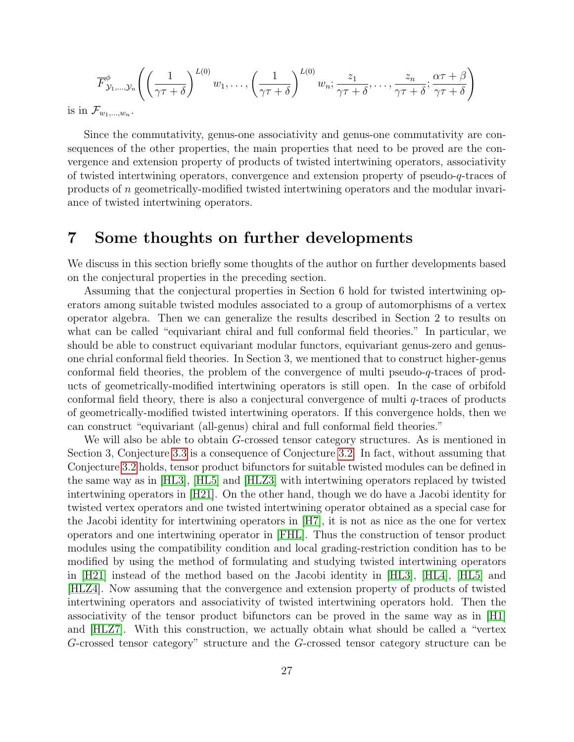$$
\overline{F}_{\mathcal{Y}_1,\dots,\mathcal{Y}_n}^{\phi}\left(\left(\frac{1}{\gamma\tau+\delta}\right)^{L(0)}w_1,\dots,\left(\frac{1}{\gamma\tau+\delta}\right)^{L(0)}w_n;\frac{z_1}{\gamma\tau+\delta},\dots,\frac{z_n}{\gamma\tau+\delta};\frac{\alpha\tau+\beta}{\gamma\tau+\delta}\right)
$$

is in  $\mathcal{F}_{w_1,\dots,w_n}$ .

Since the commutativity, genus-one associativity and genus-one commutativity are consequences of the other properties, the main properties that need to be proved are the convergence and extension property of products of twisted intertwining operators, associativity of twisted intertwining operators, convergence and extension property of pseudo-q-traces of products of n geometrically-modified twisted intertwining operators and the modular invariance of twisted intertwining operators.

### 7 Some thoughts on further developments

We discuss in this section briefly some thoughts of the author on further developments based on the conjectural properties in the preceding section.

Assuming that the conjectural properties in Section 6 hold for twisted intertwining operators among suitable twisted modules associated to a group of automorphisms of a vertex operator algebra. Then we can generalize the results described in Section 2 to results on what can be called "equivariant chiral and full conformal field theories." In particular, we should be able to construct equivariant modular functors, equivariant genus-zero and genusone chrial conformal field theories. In Section 3, we mentioned that to construct higher-genus conformal field theories, the problem of the convergence of multi pseudo-q-traces of products of geometrically-modified intertwining operators is still open. In the case of orbifold conformal field theory, there is also a conjectural convergence of multi q-traces of products of geometrically-modified twisted intertwining operators. If this convergence holds, then we can construct "equivariant (all-genus) chiral and full conformal field theories."

We will also be able to obtain G-crossed tensor category structures. As is mentioned in Section 3, Conjecture [3.3](#page-11-0) is a consequence of Conjecture [3.2.](#page-10-0) In fact, without assuming that Conjecture [3.2](#page-10-0) holds, tensor product bifunctors for suitable twisted modules can be defined in the same way as in [\[HL3\]](#page-31-9), [\[HL5\]](#page-32-6) and [\[HLZ3\]](#page-32-7) with intertwining operators replaced by twisted intertwining operators in [\[H21\]](#page-31-8). On the other hand, though we do have a Jacobi identity for twisted vertex operators and one twisted intertwining operator obtained as a special case for the Jacobi identity for intertwining operators in [\[H7\]](#page-30-8), it is not as nice as the one for vertex operators and one intertwining operator in [\[FHL\]](#page-29-7). Thus the construction of tensor product modules using the compatibility condition and local grading-restriction condition has to be modified by using the method of formulating and studying twisted intertwining operators in [\[H21\]](#page-31-8) instead of the method based on the Jacobi identity in [\[HL3\]](#page-31-9), [\[HL4\]](#page-32-8), [\[HL5\]](#page-32-6) and [\[HLZ4\]](#page-32-9). Now assuming that the convergence and extension property of products of twisted intertwining operators and associativity of twisted intertwining operators hold. Then the associativity of the tensor product bifunctors can be proved in the same way as in [\[H1\]](#page-29-8) and [\[HLZ7\]](#page-32-2). With this construction, we actually obtain what should be called a "vertex G-crossed tensor category" structure and the G-crossed tensor category structure can be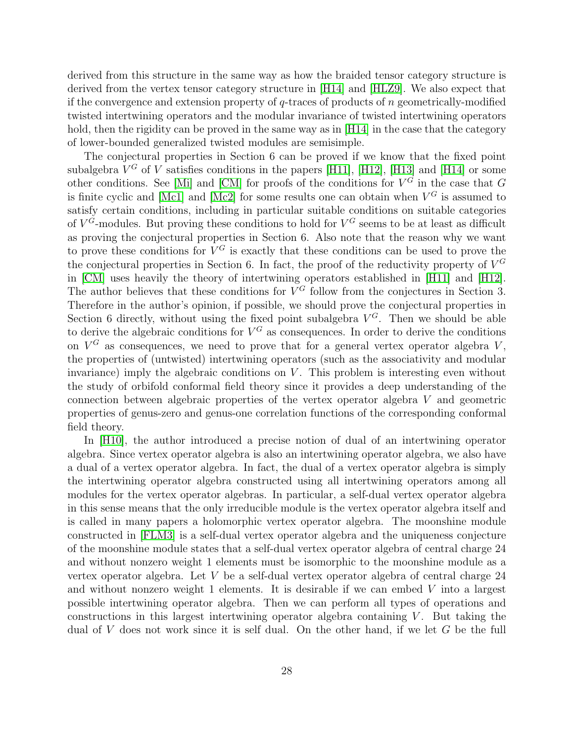derived from this structure in the same way as how the braided tensor category structure is derived from the vertex tensor category structure in [\[H14\]](#page-30-3) and [\[HLZ9\]](#page-33-1). We also expect that if the convergence and extension property of  $q$ -traces of products of n geometrically-modified twisted intertwining operators and the modular invariance of twisted intertwining operators hold, then the rigidity can be proved in the same way as in [\[H14\]](#page-30-3) in the case that the category of lower-bounded generalized twisted modules are semisimple.

The conjectural properties in Section 6 can be proved if we know that the fixed point subalgebra  $V^G$  of V satisfies conditions in the papers [\[H11\]](#page-30-0), [\[H12\]](#page-30-1), [\[H13\]](#page-30-2) and [\[H14\]](#page-30-3) or some other conditions. See [\[Mi\]](#page-34-7) and [\[CM\]](#page-28-8) for proofs of the conditions for  $V^G$  in the case that G is finite cyclic and [\[Mc1\]](#page-33-13) and [\[Mc2\]](#page-33-14) for some results one can obtain when  $V^G$  is assumed to satisfy certain conditions, including in particular suitable conditions on suitable categories of  $V^G$ -modules. But proving these conditions to hold for  $V^G$  seems to be at least as difficult as proving the conjectural properties in Section 6. Also note that the reason why we want to prove these conditions for  $V^G$  is exactly that these conditions can be used to prove the the conjectural properties in Section 6. In fact, the proof of the reductivity property of  $V^G$ in [\[CM\]](#page-28-8) uses heavily the theory of intertwining operators established in [\[H11\]](#page-30-0) and [\[H12\]](#page-30-1). The author believes that these conditions for  $V^G$  follow from the conjectures in Section 3. Therefore in the author's opinion, if possible, we should prove the conjectural properties in Section 6 directly, without using the fixed point subalgebra  $V^G$ . Then we should be able to derive the algebraic conditions for  $V^G$  as consequences. In order to derive the conditions on  $V^G$  as consequences, we need to prove that for a general vertex operator algebra V, the properties of (untwisted) intertwining operators (such as the associativity and modular invariance) imply the algebraic conditions on  $V$ . This problem is interesting even without the study of orbifold conformal field theory since it provides a deep understanding of the connection between algebraic properties of the vertex operator algebra V and geometric properties of genus-zero and genus-one correlation functions of the corresponding conformal field theory.

In [\[H10\]](#page-30-11), the author introduced a precise notion of dual of an intertwining operator algebra. Since vertex operator algebra is also an intertwining operator algebra, we also have a dual of a vertex operator algebra. In fact, the dual of a vertex operator algebra is simply the intertwining operator algebra constructed using all intertwining operators among all modules for the vertex operator algebras. In particular, a self-dual vertex operator algebra in this sense means that the only irreducible module is the vertex operator algebra itself and is called in many papers a holomorphic vertex operator algebra. The moonshine module constructed in [\[FLM3\]](#page-29-2) is a self-dual vertex operator algebra and the uniqueness conjecture of the moonshine module states that a self-dual vertex operator algebra of central charge 24 and without nonzero weight 1 elements must be isomorphic to the moonshine module as a vertex operator algebra. Let V be a self-dual vertex operator algebra of central charge 24 and without nonzero weight 1 elements. It is desirable if we can embed  $V$  into a largest possible intertwining operator algebra. Then we can perform all types of operations and constructions in this largest intertwining operator algebra containing  $V$ . But taking the dual of V does not work since it is self dual. On the other hand, if we let G be the full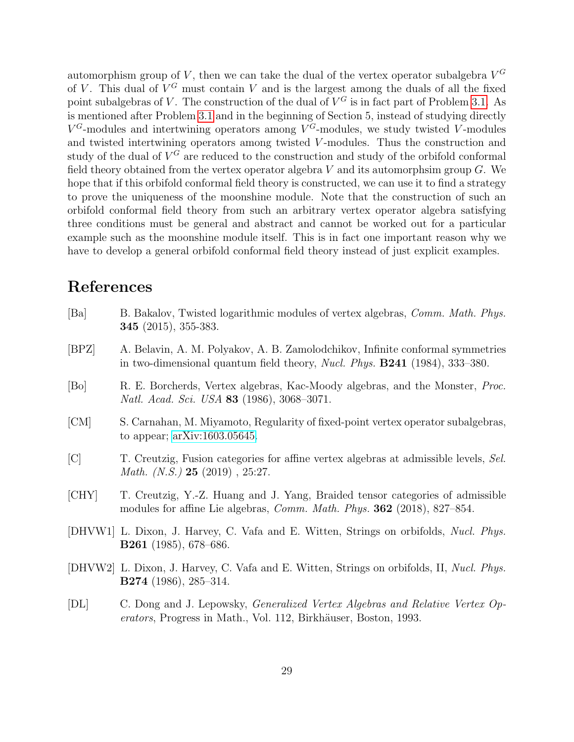automorphism group of V, then we can take the dual of the vertex operator subalgebra  $V^G$ of V. This dual of  $V^G$  must contain V and is the largest among the duals of all the fixed point subalgebras of V. The construction of the dual of  $V^G$  is in fact part of Problem [3.1.](#page-10-1) As is mentioned after Problem [3.1](#page-10-1) and in the beginning of Section 5, instead of studying directly  $V^G$ -modules and intertwining operators among  $V^G$ -modules, we study twisted V-modules and twisted intertwining operators among twisted V-modules. Thus the construction and study of the dual of  $V^G$  are reduced to the construction and study of the orbifold conformal field theory obtained from the vertex operator algebra  $V$  and its automorphsim group  $G$ . We hope that if this orbifold conformal field theory is constructed, we can use it to find a strategy to prove the uniqueness of the moonshine module. Note that the construction of such an orbifold conformal field theory from such an arbitrary vertex operator algebra satisfying three conditions must be general and abstract and cannot be worked out for a particular example such as the moonshine module itself. This is in fact one important reason why we have to develop a general orbifold conformal field theory instead of just explicit examples.

### References

<span id="page-28-8"></span><span id="page-28-7"></span><span id="page-28-5"></span><span id="page-28-3"></span><span id="page-28-2"></span>

| [Ba]     | B. Bakalov, Twisted logarithmic modules of vertex algebras, Comm. Math. Phys.<br><b>345</b> (2015), 355-383.                                                           |
|----------|------------------------------------------------------------------------------------------------------------------------------------------------------------------------|
| [BPZ]    | A. Belavin, A. M. Polyakov, A. B. Zamolodchikov, Infinite conformal symmetries<br>in two-dimensional quantum field theory, <i>Nucl. Phys.</i> $B241$ (1984), 333-380.  |
| [Bo]     | R. E. Borcherds, Vertex algebras, Kac-Moody algebras, and the Monster, <i>Proc.</i><br>Natl. Acad. Sci. USA 83 (1986), 3068-3071.                                      |
| [CM]     | S. Carnahan, M. Miyamoto, Regularity of fixed-point vertex operator subalgebras,<br>to appear; $arXiv:1603.05645$ .                                                    |
| [C]      | T. Creutzig, Fusion categories for affine vertex algebras at admissible levels, Sel.<br><i>Math.</i> $(N.S.$ ) <b>25</b> (2019), 25:27.                                |
| [CHY]    | T. Creutzig, Y.-Z. Huang and J. Yang, Braided tensor categories of admissible<br>modules for affine Lie algebras, <i>Comm. Math. Phys.</i> <b>362</b> (2018), 827–854. |
|          | [DHVW1] L. Dixon, J. Harvey, C. Vafa and E. Witten, Strings on orbifolds, <i>Nucl. Phys.</i><br><b>B261</b> (1985), 678-686.                                           |
|          | [DHVW2] L. Dixon, J. Harvey, C. Vafa and E. Witten, Strings on orbifolds, II, Nucl. Phys.<br><b>B274</b> (1986), 285–314.                                              |
| $\Gamma$ | $\alpha$ Dependent Longwaler Consumined Venter Hashnes and Delative Venter $\alpha$                                                                                    |

<span id="page-28-6"></span><span id="page-28-4"></span><span id="page-28-1"></span><span id="page-28-0"></span>[DL] C. Dong and J. Lepowsky, Generalized Vertex Algebras and Relative Vertex Operators, Progress in Math., Vol. 112, Birkhäuser, Boston, 1993.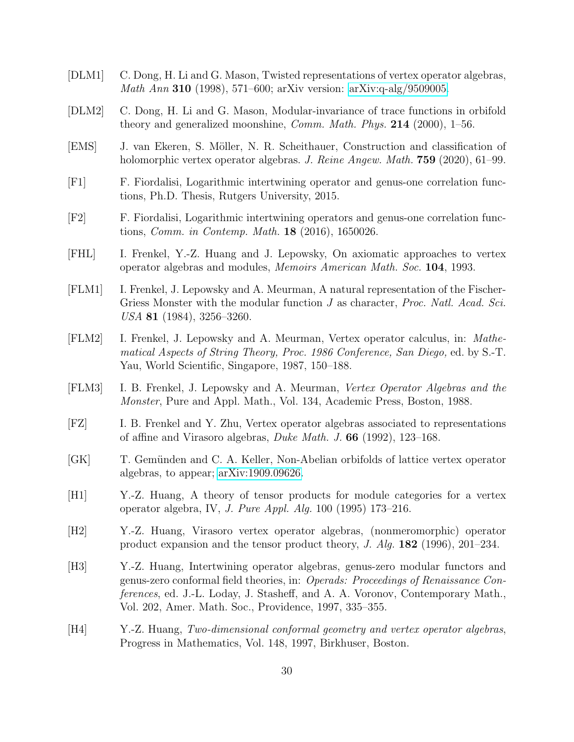- <span id="page-29-13"></span>[DLM1] C. Dong, H. Li and G. Mason, Twisted representations of vertex operator algebras, Math Ann 310 (1998), 571–600; arXiv version: [arXiv:q-alg/9509005.](http://arxiv.org/abs/q-alg/9509005)
- <span id="page-29-12"></span>[DLM2] C. Dong, H. Li and G. Mason, Modular-invariance of trace functions in orbifold theory and generalized moonshine, *Comm. Math. Phys.* **214** (2000),  $1-56$ .
- <span id="page-29-3"></span>[EMS] J. van Ekeren, S. M¨oller, N. R. Scheithauer, Construction and classification of holomorphic vertex operator algebras. J. Reine Angew. Math. 759 (2020), 61–99.
- <span id="page-29-9"></span>[F1] F. Fiordalisi, Logarithmic intertwining operator and genus-one correlation functions, Ph.D. Thesis, Rutgers University, 2015.
- <span id="page-29-10"></span>[F2] F. Fiordalisi, Logarithmic intertwining operators and genus-one correlation functions, Comm. in Contemp. Math. 18 (2016), 1650026.
- <span id="page-29-7"></span>[FHL] I. Frenkel, Y.-Z. Huang and J. Lepowsky, On axiomatic approaches to vertex operator algebras and modules, Memoirs American Math. Soc. 104, 1993.
- <span id="page-29-0"></span>[FLM1] I. Frenkel, J. Lepowsky and A. Meurman, A natural representation of the Fischer-Griess Monster with the modular function J as character, *Proc. Natl. Acad. Sci.* USA 81 (1984), 3256–3260.
- <span id="page-29-1"></span>[FLM2] I. Frenkel, J. Lepowsky and A. Meurman, Vertex operator calculus, in: Mathematical Aspects of String Theory, Proc. 1986 Conference, San Diego, ed. by S.-T. Yau, World Scientific, Singapore, 1987, 150–188.
- <span id="page-29-2"></span>[FLM3] I. B. Frenkel, J. Lepowsky and A. Meurman, Vertex Operator Algebras and the Monster, Pure and Appl. Math., Vol. 134, Academic Press, Boston, 1988.
- [FZ] I. B. Frenkel and Y. Zhu, Vertex operator algebras associated to representations of affine and Virasoro algebras, Duke Math. J. 66 (1992), 123–168.
- <span id="page-29-4"></span>[GK] T. Gemünden and C. A. Keller, Non-Abelian orbifolds of lattice vertex operator algebras, to appear; [arXiv:1909.09626.](http://arxiv.org/abs/1909.09626)
- <span id="page-29-8"></span>[H1] Y.-Z. Huang, A theory of tensor products for module categories for a vertex operator algebra, IV, J. Pure Appl. Alg. 100 (1995) 173–216.
- <span id="page-29-11"></span>[H2] Y.-Z. Huang, Virasoro vertex operator algebras, (nonmeromorphic) operator product expansion and the tensor product theory, J. Alg. 182 (1996), 201–234.
- <span id="page-29-5"></span>[H3] Y.-Z. Huang, Intertwining operator algebras, genus-zero modular functors and genus-zero conformal field theories, in: Operads: Proceedings of Renaissance Conferences, ed. J.-L. Loday, J. Stasheff, and A. A. Voronov, Contemporary Math., Vol. 202, Amer. Math. Soc., Providence, 1997, 335–355.
- <span id="page-29-6"></span>[H4] Y.-Z. Huang, Two-dimensional conformal geometry and vertex operator algebras, Progress in Mathematics, Vol. 148, 1997, Birkhuser, Boston.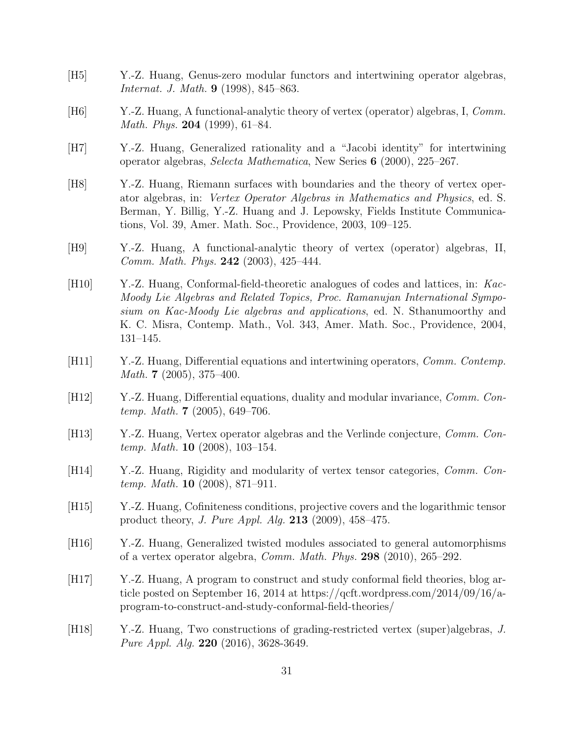- <span id="page-30-4"></span>[H5] Y.-Z. Huang, Genus-zero modular functors and intertwining operator algebras, Internat. J. Math. 9 (1998), 845–863.
- <span id="page-30-9"></span>[H6] Y.-Z. Huang, A functional-analytic theory of vertex (operator) algebras, I, Comm. *Math. Phys.* **204** (1999), 61–84.
- <span id="page-30-8"></span>[H7] Y.-Z. Huang, Generalized rationality and a "Jacobi identity" for intertwining operator algebras, Selecta Mathematica, New Series 6 (2000), 225–267.
- <span id="page-30-5"></span>[H8] Y.-Z. Huang, Riemann surfaces with boundaries and the theory of vertex operator algebras, in: Vertex Operator Algebras in Mathematics and Physics, ed. S. Berman, Y. Billig, Y.-Z. Huang and J. Lepowsky, Fields Institute Communications, Vol. 39, Amer. Math. Soc., Providence, 2003, 109–125.
- <span id="page-30-10"></span>[H9] Y.-Z. Huang, A functional-analytic theory of vertex (operator) algebras, II, Comm. Math. Phys. 242 (2003), 425–444.
- <span id="page-30-11"></span>[H10] Y.-Z. Huang, Conformal-field-theoretic analogues of codes and lattices, in: Kac-Moody Lie Algebras and Related Topics, Proc. Ramanujan International Symposium on Kac-Moody Lie algebras and applications, ed. N. Sthanumoorthy and K. C. Misra, Contemp. Math., Vol. 343, Amer. Math. Soc., Providence, 2004, 131–145.
- <span id="page-30-0"></span>[H11] Y.-Z. Huang, Differential equations and intertwining operators, Comm. Contemp. *Math.* **7** (2005), 375–400.
- <span id="page-30-1"></span>[H12] Y.-Z. Huang, Differential equations, duality and modular invariance, Comm. Contemp. Math. 7 (2005), 649–706.
- <span id="page-30-2"></span>[H13] Y.-Z. Huang, Vertex operator algebras and the Verlinde conjecture, *Comm. Con*temp. Math. **10** (2008), 103-154.
- <span id="page-30-3"></span>[H14] Y.-Z. Huang, Rigidity and modularity of vertex tensor categories, Comm. Contemp. Math. **10** (2008), 871–911.
- <span id="page-30-12"></span>[H15] Y.-Z. Huang, Cofiniteness conditions, projective covers and the logarithmic tensor product theory, J. Pure Appl. Alg. 213 (2009), 458–475.
- <span id="page-30-13"></span>[H16] Y.-Z. Huang, Generalized twisted modules associated to general automorphisms of a vertex operator algebra, Comm. Math. Phys. 298 (2010), 265–292.
- <span id="page-30-6"></span>[H17] Y.-Z. Huang, A program to construct and study conformal field theories, blog article posted on September 16, 2014 at https://qcft.wordpress.com/2014/09/16/aprogram-to-construct-and-study-conformal-field-theories/
- <span id="page-30-7"></span>[H18] Y.-Z. Huang, Two constructions of grading-restricted vertex (super)algebras, J. Pure Appl. Alg. 220 (2016), 3628-3649.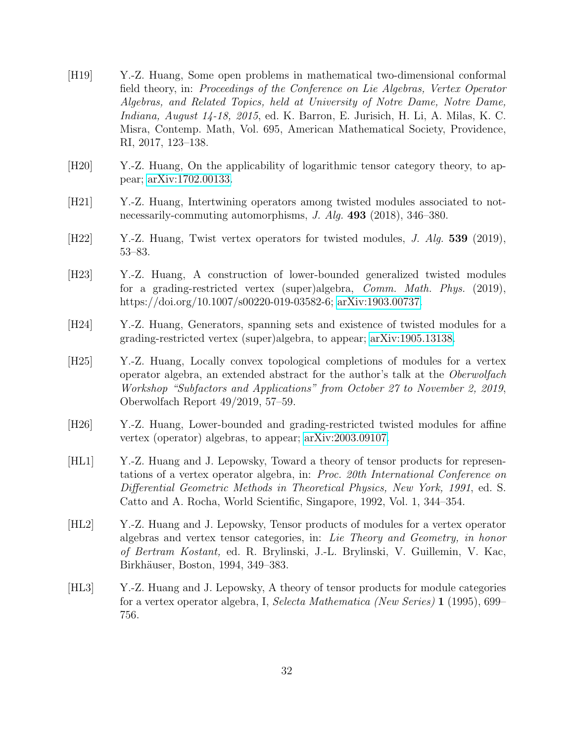- <span id="page-31-0"></span>[H19] Y.-Z. Huang, Some open problems in mathematical two-dimensional conformal field theory, in: Proceedings of the Conference on Lie Algebras, Vertex Operator Algebras, and Related Topics, held at University of Notre Dame, Notre Dame, Indiana, August 14-18, 2015, ed. K. Barron, E. Jurisich, H. Li, A. Milas, K. C. Misra, Contemp. Math, Vol. 695, American Mathematical Society, Providence, RI, 2017, 123–138.
- <span id="page-31-3"></span>[H20] Y.-Z. Huang, On the applicability of logarithmic tensor category theory, to appear; [arXiv:1702.00133.](http://arxiv.org/abs/1702.00133)
- <span id="page-31-8"></span>[H21] Y.-Z. Huang, Intertwining operators among twisted modules associated to notnecessarily-commuting automorphisms, J. Alg. 493 (2018), 346–380.
- <span id="page-31-7"></span>[H22] Y.-Z. Huang, Twist vertex operators for twisted modules, J. Alg. 539 (2019), 53–83.
- <span id="page-31-5"></span>[H23] Y.-Z. Huang, A construction of lower-bounded generalized twisted modules for a grading-restricted vertex (super)algebra, Comm. Math. Phys. (2019), https://doi.org/10.1007/s00220-019-03582-6; [arXiv:1903.00737.](http://arxiv.org/abs/1903.00737)
- <span id="page-31-1"></span>[H24] Y.-Z. Huang, Generators, spanning sets and existence of twisted modules for a grading-restricted vertex (super)algebra, to appear; [arXiv:1905.13138.](http://arxiv.org/abs/1905.13138)
- <span id="page-31-4"></span>[H25] Y.-Z. Huang, Locally convex topological completions of modules for a vertex operator algebra, an extended abstract for the author's talk at the Oberwolfach Workshop "Subfactors and Applications" from October 27 to November 2, 2019, Oberwolfach Report 49/2019, 57–59.
- <span id="page-31-6"></span>[H26] Y.-Z. Huang, Lower-bounded and grading-restricted twisted modules for affine vertex (operator) algebras, to appear; [arXiv:2003.09107.](http://arxiv.org/abs/2003.09107)
- [HL1] Y.-Z. Huang and J. Lepowsky, Toward a theory of tensor products for representations of a vertex operator algebra, in: Proc. 20th International Conference on Differential Geometric Methods in Theoretical Physics, New York, 1991, ed. S. Catto and A. Rocha, World Scientific, Singapore, 1992, Vol. 1, 344–354.
- <span id="page-31-2"></span>[HL2] Y.-Z. Huang and J. Lepowsky, Tensor products of modules for a vertex operator algebras and vertex tensor categories, in: Lie Theory and Geometry, in honor of Bertram Kostant, ed. R. Brylinski, J.-L. Brylinski, V. Guillemin, V. Kac, Birkhäuser, Boston, 1994, 349–383.
- <span id="page-31-9"></span>[HL3] Y.-Z. Huang and J. Lepowsky, A theory of tensor products for module categories for a vertex operator algebra, I, Selecta Mathematica (New Series) 1 (1995), 699– 756.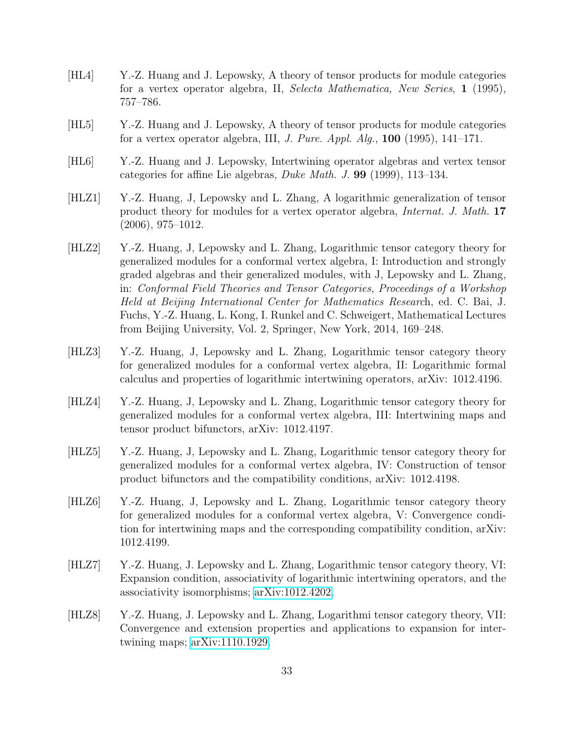- <span id="page-32-8"></span>[HL4] Y.-Z. Huang and J. Lepowsky, A theory of tensor products for module categories for a vertex operator algebra, II, Selecta Mathematica, New Series, 1 (1995), 757–786.
- <span id="page-32-6"></span>[HL5] Y.-Z. Huang and J. Lepowsky, A theory of tensor products for module categories for a vertex operator algebra, III, *J. Pure. Appl. Alg.*,  $100$  (1995), 141–171.
- <span id="page-32-3"></span>[HL6] Y.-Z. Huang and J. Lepowsky, Intertwining operator algebras and vertex tensor categories for affine Lie algebras, Duke Math. J. 99 (1999), 113–134.
- <span id="page-32-4"></span>[HLZ1] Y.-Z. Huang, J, Lepowsky and L. Zhang, A logarithmic generalization of tensor product theory for modules for a vertex operator algebra, Internat. J. Math. 17 (2006), 975–1012.
- <span id="page-32-0"></span>[HLZ2] Y.-Z. Huang, J, Lepowsky and L. Zhang, Logarithmic tensor category theory for generalized modules for a conformal vertex algebra, I: Introduction and strongly graded algebras and their generalized modules, with J, Lepowsky and L. Zhang, in: Conformal Field Theories and Tensor Categories, Proceedings of a Workshop Held at Beijing International Center for Mathematics Research, ed. C. Bai, J. Fuchs, Y.-Z. Huang, L. Kong, I. Runkel and C. Schweigert, Mathematical Lectures from Beijing University, Vol. 2, Springer, New York, 2014, 169–248.
- <span id="page-32-7"></span>[HLZ3] Y.-Z. Huang, J, Lepowsky and L. Zhang, Logarithmic tensor category theory for generalized modules for a conformal vertex algebra, II: Logarithmic formal calculus and properties of logarithmic intertwining operators, arXiv: 1012.4196.
- <span id="page-32-9"></span>[HLZ4] Y.-Z. Huang, J, Lepowsky and L. Zhang, Logarithmic tensor category theory for generalized modules for a conformal vertex algebra, III: Intertwining maps and tensor product bifunctors, arXiv: 1012.4197.
- [HLZ5] Y.-Z. Huang, J, Lepowsky and L. Zhang, Logarithmic tensor category theory for generalized modules for a conformal vertex algebra, IV: Construction of tensor product bifunctors and the compatibility conditions, arXiv: 1012.4198.
- <span id="page-32-5"></span>[HLZ6] Y.-Z. Huang, J, Lepowsky and L. Zhang, Logarithmic tensor category theory for generalized modules for a conformal vertex algebra, V: Convergence condition for intertwining maps and the corresponding compatibility condition, arXiv: 1012.4199.
- <span id="page-32-2"></span>[HLZ7] Y.-Z. Huang, J. Lepowsky and L. Zhang, Logarithmic tensor category theory, VI: Expansion condition, associativity of logarithmic intertwining operators, and the associativity isomorphisms; [arXiv:1012.4202.](http://arxiv.org/abs/1012.4202)
- <span id="page-32-1"></span>[HLZ8] Y.-Z. Huang, J. Lepowsky and L. Zhang, Logarithmi tensor category theory, VII: Convergence and extension properties and applications to expansion for intertwining maps; [arXiv:1110.1929.](http://arxiv.org/abs/1110.1929)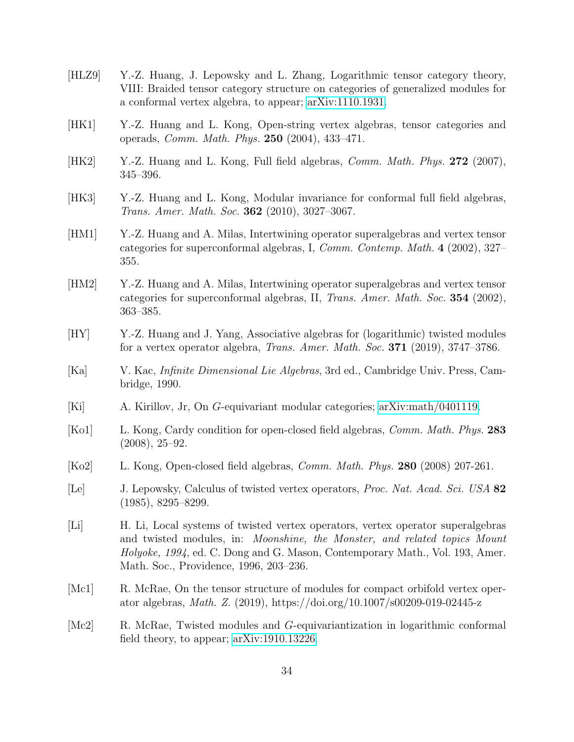- <span id="page-33-1"></span>[HLZ9] Y.-Z. Huang, J. Lepowsky and L. Zhang, Logarithmic tensor category theory, VIII: Braided tensor category structure on categories of generalized modules for a conformal vertex algebra, to appear; [arXiv:1110.1931.](http://arxiv.org/abs/1110.1931)
- <span id="page-33-4"></span>[HK1] Y.-Z. Huang and L. Kong, Open-string vertex algebras, tensor categories and operads, Comm. Math. Phys. 250 (2004), 433–471.
- <span id="page-33-2"></span>[HK2] Y.-Z. Huang and L. Kong, Full field algebras, *Comm. Math. Phys.* 272 (2007), 345–396.
- <span id="page-33-3"></span>[HK3] Y.-Z. Huang and L. Kong, Modular invariance for conformal full field algebras, Trans. Amer. Math. Soc. 362 (2010), 3027–3067.
- <span id="page-33-8"></span>[HM1] Y.-Z. Huang and A. Milas, Intertwining operator superalgebras and vertex tensor categories for superconformal algebras, I, Comm. Contemp. Math. 4 (2002), 327– 355.
- <span id="page-33-9"></span>[HM2] Y.-Z. Huang and A. Milas, Intertwining operator superalgebras and vertex tensor categories for superconformal algebras, II, Trans. Amer. Math. Soc. 354 (2002), 363–385.
- <span id="page-33-12"></span>[HY] Y.-Z. Huang and J. Yang, Associative algebras for (logarithmic) twisted modules for a vertex operator algebra, Trans. Amer. Math. Soc. 371 (2019), 3747–3786.
- <span id="page-33-7"></span>[Ka] V. Kac, Infinite Dimensional Lie Algebras, 3rd ed., Cambridge Univ. Press, Cambridge, 1990.
- <span id="page-33-10"></span>[Ki] A. Kirillov, Jr, On G-equivariant modular categories; [arXiv:math/0401119.](http://arxiv.org/abs/math/0401119)
- <span id="page-33-5"></span>[Ko1] L. Kong, Cardy condition for open-closed field algebras, Comm. Math. Phys. 283 (2008), 25–92.
- <span id="page-33-6"></span>[Ko2] L. Kong, Open-closed field algebras, Comm. Math. Phys. 280 (2008) 207-261.
- <span id="page-33-0"></span>[Le] J. Lepowsky, Calculus of twisted vertex operators, Proc. Nat. Acad. Sci. USA 82 (1985), 8295–8299.
- <span id="page-33-11"></span>[Li] H. Li, Local systems of twisted vertex operators, vertex operator superalgebras and twisted modules, in: Moonshine, the Monster, and related topics Mount Holyoke, 1994, ed. C. Dong and G. Mason, Contemporary Math., Vol. 193, Amer. Math. Soc., Providence, 1996, 203–236.
- <span id="page-33-13"></span>[Mc1] R. McRae, On the tensor structure of modules for compact orbifold vertex operator algebras, Math. Z. (2019), https://doi.org/10.1007/s00209-019-02445-z
- <span id="page-33-14"></span>[Mc2] R. McRae, Twisted modules and G-equivariantization in logarithmic conformal field theory, to appear; [arXiv:1910.13226.](http://arxiv.org/abs/1910.13226)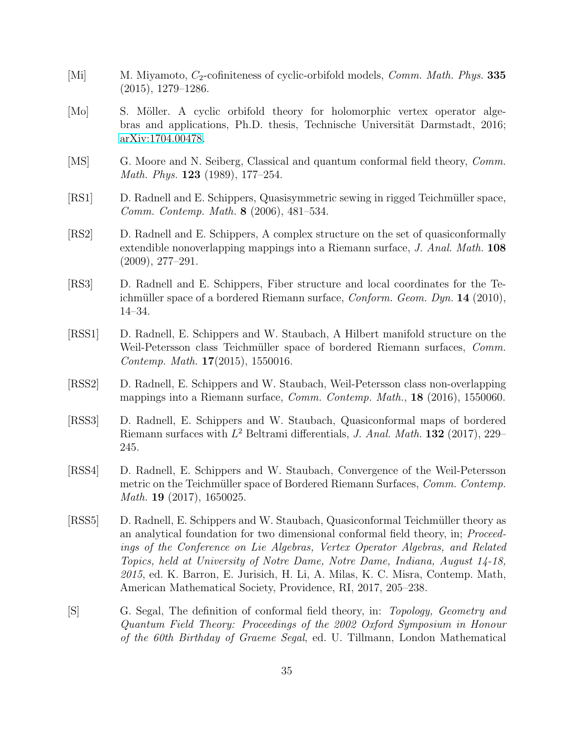- <span id="page-34-7"></span>[Mi] M. Miyamoto,  $C_2$ -cofiniteness of cyclic-orbifold models, *Comm. Math. Phys.* **335** (2015), 1279–1286.
- <span id="page-34-0"></span>[Mo] S. Möller. A cyclic orbifold theory for holomorphic vertex operator algebras and applications, Ph.D. thesis, Technische Universität Darmstadt, 2016; [arXiv:1704.00478.](http://arxiv.org/abs/1704.00478)
- <span id="page-34-1"></span>[MS] G. Moore and N. Seiberg, Classical and quantum conformal field theory, *Comm.* Math. Phys. **123** (1989), 177–254.
- <span id="page-34-3"></span>[RS1] D. Radnell and E. Schippers, Quasisymmetric sewing in rigged Teichm¨uller space, Comm. Contemp. Math. 8 (2006), 481–534.
- [RS2] D. Radnell and E. Schippers, A complex structure on the set of quasiconformally extendible nonoverlapping mappings into a Riemann surface, J. Anal. Math. **108** (2009), 277–291.
- <span id="page-34-4"></span>[RS3] D. Radnell and E. Schippers, Fiber structure and local coordinates for the Teichmüller space of a bordered Riemann surface,  $Conform. Geom. Dyn. 14 (2010),$ 14–34.
- <span id="page-34-5"></span>[RSS1] D. Radnell, E. Schippers and W. Staubach, A Hilbert manifold structure on the Weil-Petersson class Teichmüller space of bordered Riemann surfaces, Comm. Contemp. Math. 17(2015), 1550016.
- [RSS2] D. Radnell, E. Schippers and W. Staubach, Weil-Petersson class non-overlapping mappings into a Riemann surface, Comm. Contemp. Math., 18 (2016), 1550060.
- [RSS3] D. Radnell, E. Schippers and W. Staubach, Quasiconformal maps of bordered Riemann surfaces with  $L^2$  Beltrami differentials, J. Anal. Math. 132 (2017), 229– 245.
- [RSS4] D. Radnell, E. Schippers and W. Staubach, Convergence of the Weil-Petersson metric on the Teichmüller space of Bordered Riemann Surfaces, Comm. Contemp. Math. **19** (2017), 1650025.
- <span id="page-34-6"></span>[RSS5] D. Radnell, E. Schippers and W. Staubach, Quasiconformal Teichmüller theory as an analytical foundation for two dimensional conformal field theory, in; Proceedings of the Conference on Lie Algebras, Vertex Operator Algebras, and Related Topics, held at University of Notre Dame, Notre Dame, Indiana, August 14-18, 2015, ed. K. Barron, E. Jurisich, H. Li, A. Milas, K. C. Misra, Contemp. Math, American Mathematical Society, Providence, RI, 2017, 205–238.
- <span id="page-34-2"></span>[S] G. Segal, The definition of conformal field theory, in: Topology, Geometry and Quantum Field Theory: Proceedings of the 2002 Oxford Symposium in Honour of the 60th Birthday of Graeme Segal, ed. U. Tillmann, London Mathematical